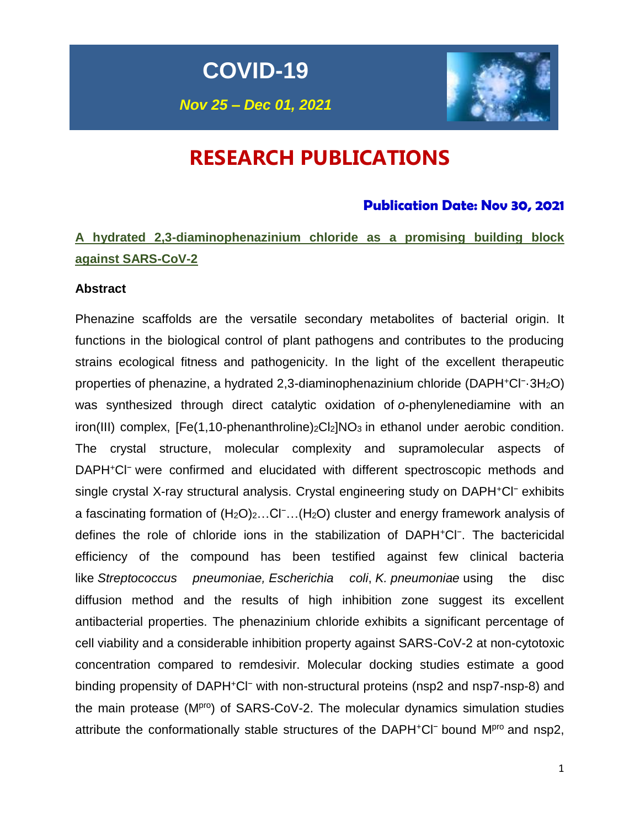# **COVID-19**

*Nov 25 – Dec 01, 2021*



# **RESEARCH PUBLICATIONS**

### **Publication Date: Nov 30, 2021**

# **A hydrated 2,3-diaminophenazinium chloride as a promising building block against SARS-CoV-2**

### **Abstract**

Phenazine scaffolds are the versatile secondary metabolites of bacterial origin. It functions in the biological control of plant pathogens and contributes to the producing strains ecological fitness and pathogenicity. In the light of the excellent therapeutic properties of phenazine, a hydrated 2,3-diaminophenazinium chloride (DAPH+Cl<sup>-</sup>-3H<sub>2</sub>O) was synthesized through direct catalytic oxidation of *o*-phenylenediamine with an  $i$ ron(III) complex,  $[Fe(1,10-phenanthroline)<sub>2</sub>Cl<sub>2</sub>]NO<sub>3</sub>$  in ethanol under aerobic condition. The crystal structure, molecular complexity and supramolecular aspects of DAPH<sup>+</sup>Cl<sup>−</sup> were confirmed and elucidated with different spectroscopic methods and single crystal X-ray structural analysis. Crystal engineering study on DAPH<sup>+</sup>Cl<sup>−</sup> exhibits a fascinating formation of  $(H_2O)_2...Cl^-...(H_2O)$  cluster and energy framework analysis of defines the role of chloride ions in the stabilization of DAPH<sup>+</sup>Cl<sup>−</sup> . The bactericidal efficiency of the compound has been testified against few clinical bacteria like *Streptococcus pneumoniae, Escherichia coli*, *K. pneumoniae* using the disc diffusion method and the results of high inhibition zone suggest its excellent antibacterial properties. The phenazinium chloride exhibits a significant percentage of cell viability and a considerable inhibition property against SARS-CoV-2 at non-cytotoxic concentration compared to remdesivir. Molecular docking studies estimate a good binding propensity of DAPH<sup>+</sup>Cl<sup>−</sup> with non-structural proteins (nsp2 and nsp7-nsp-8) and the main protease  $(M)_{P}$  of SARS-CoV-2. The molecular dynamics simulation studies attribute the conformationally stable structures of the DAPH<sup>+</sup>Cl<sup>−</sup> bound Mpro and nsp2,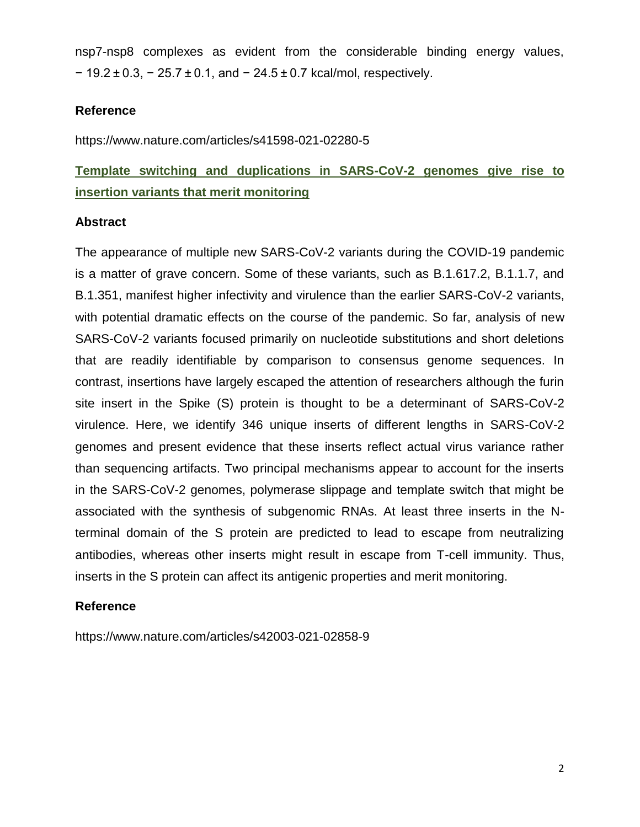nsp7-nsp8 complexes as evident from the considerable binding energy values, − 19.2 ± 0.3, − 25.7 ± 0.1, and − 24.5 ± 0.7 kcal/mol, respectively.

### **Reference**

https://www.nature.com/articles/s41598-021-02280-5

# **Template switching and duplications in SARS-CoV-2 genomes give rise to insertion variants that merit monitoring**

### **Abstract**

The appearance of multiple new SARS-CoV-2 variants during the COVID-19 pandemic is a matter of grave concern. Some of these variants, such as B.1.617.2, B.1.1.7, and B.1.351, manifest higher infectivity and virulence than the earlier SARS-CoV-2 variants, with potential dramatic effects on the course of the pandemic. So far, analysis of new SARS-CoV-2 variants focused primarily on nucleotide substitutions and short deletions that are readily identifiable by comparison to consensus genome sequences. In contrast, insertions have largely escaped the attention of researchers although the furin site insert in the Spike (S) protein is thought to be a determinant of SARS-CoV-2 virulence. Here, we identify 346 unique inserts of different lengths in SARS-CoV-2 genomes and present evidence that these inserts reflect actual virus variance rather than sequencing artifacts. Two principal mechanisms appear to account for the inserts in the SARS-CoV-2 genomes, polymerase slippage and template switch that might be associated with the synthesis of subgenomic RNAs. At least three inserts in the Nterminal domain of the S protein are predicted to lead to escape from neutralizing antibodies, whereas other inserts might result in escape from T-cell immunity. Thus, inserts in the S protein can affect its antigenic properties and merit monitoring.

### **Reference**

https://www.nature.com/articles/s42003-021-02858-9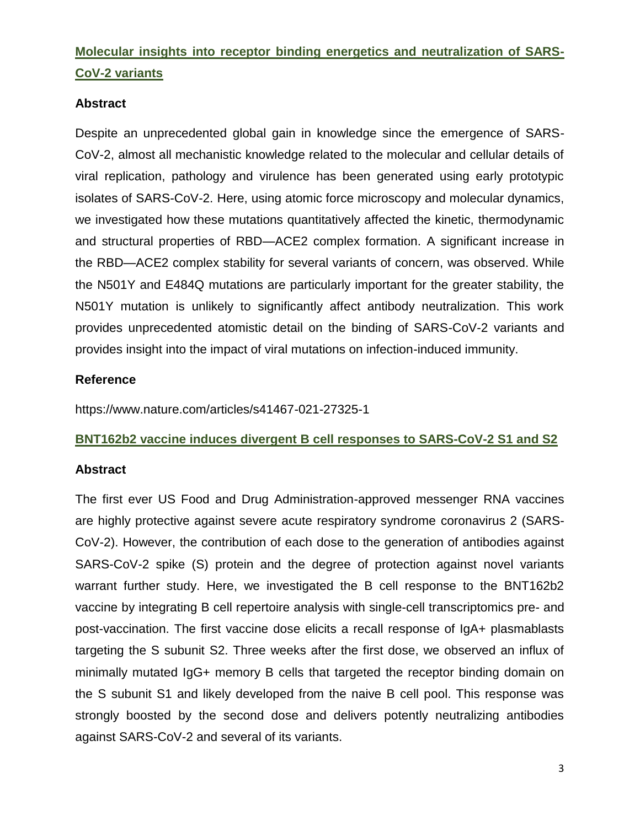# **Molecular insights into receptor binding energetics and neutralization of SARS-CoV-2 variants**

### **Abstract**

Despite an unprecedented global gain in knowledge since the emergence of SARS-CoV-2, almost all mechanistic knowledge related to the molecular and cellular details of viral replication, pathology and virulence has been generated using early prototypic isolates of SARS-CoV-2. Here, using atomic force microscopy and molecular dynamics, we investigated how these mutations quantitatively affected the kinetic, thermodynamic and structural properties of RBD—ACE2 complex formation. A significant increase in the RBD—ACE2 complex stability for several variants of concern, was observed. While the N501Y and E484Q mutations are particularly important for the greater stability, the N501Y mutation is unlikely to significantly affect antibody neutralization. This work provides unprecedented atomistic detail on the binding of SARS-CoV-2 variants and provides insight into the impact of viral mutations on infection-induced immunity.

### **Reference**

https://www.nature.com/articles/s41467-021-27325-1

### **BNT162b2 vaccine induces divergent B cell responses to SARS-CoV-2 S1 and S2**

### **Abstract**

The first ever US Food and Drug Administration-approved messenger RNA vaccines are highly protective against severe acute respiratory syndrome coronavirus 2 (SARS-CoV-2). However, the contribution of each dose to the generation of antibodies against SARS-CoV-2 spike (S) protein and the degree of protection against novel variants warrant further study. Here, we investigated the B cell response to the BNT162b2 vaccine by integrating B cell repertoire analysis with single-cell transcriptomics pre- and post-vaccination. The first vaccine dose elicits a recall response of IgA+ plasmablasts targeting the S subunit S2. Three weeks after the first dose, we observed an influx of minimally mutated IgG+ memory B cells that targeted the receptor binding domain on the S subunit S1 and likely developed from the naive B cell pool. This response was strongly boosted by the second dose and delivers potently neutralizing antibodies against SARS-CoV-2 and several of its variants.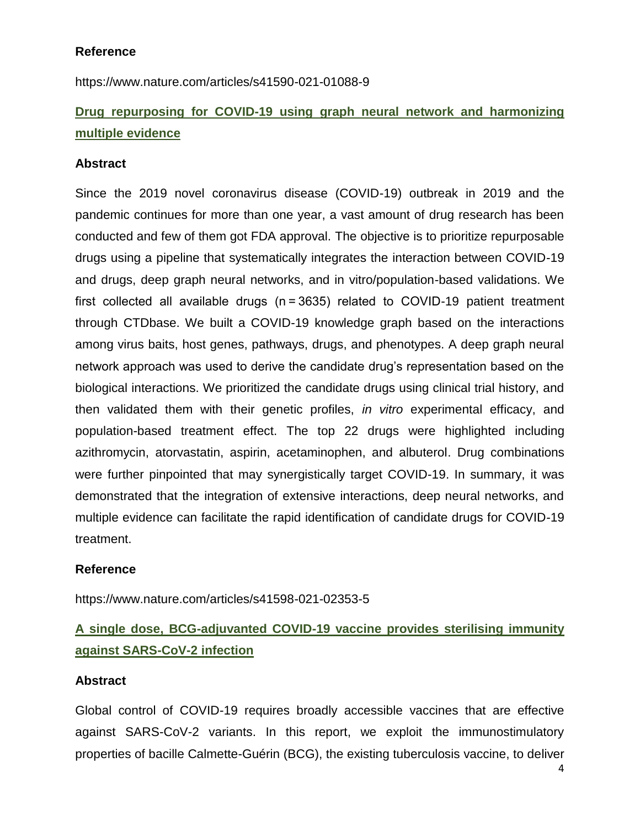### **Reference**

https://www.nature.com/articles/s41590-021-01088-9

# **Drug repurposing for COVID-19 using graph neural network and harmonizing multiple evidence**

### **Abstract**

Since the 2019 novel coronavirus disease (COVID-19) outbreak in 2019 and the pandemic continues for more than one year, a vast amount of drug research has been conducted and few of them got FDA approval. The objective is to prioritize repurposable drugs using a pipeline that systematically integrates the interaction between COVID-19 and drugs, deep graph neural networks, and in vitro/population-based validations. We first collected all available drugs (n = 3635) related to COVID-19 patient treatment through CTDbase. We built a COVID-19 knowledge graph based on the interactions among virus baits, host genes, pathways, drugs, and phenotypes. A deep graph neural network approach was used to derive the candidate drug's representation based on the biological interactions. We prioritized the candidate drugs using clinical trial history, and then validated them with their genetic profiles, *in vitro* experimental efficacy, and population-based treatment effect. The top 22 drugs were highlighted including azithromycin, atorvastatin, aspirin, acetaminophen, and albuterol. Drug combinations were further pinpointed that may synergistically target COVID-19. In summary, it was demonstrated that the integration of extensive interactions, deep neural networks, and multiple evidence can facilitate the rapid identification of candidate drugs for COVID-19 treatment.

### **Reference**

https://www.nature.com/articles/s41598-021-02353-5

### **A single dose, BCG-adjuvanted COVID-19 vaccine provides sterilising immunity against SARS-CoV-2 infection**

### **Abstract**

Global control of COVID-19 requires broadly accessible vaccines that are effective against SARS-CoV-2 variants. In this report, we exploit the immunostimulatory properties of bacille Calmette-Guérin (BCG), the existing tuberculosis vaccine, to deliver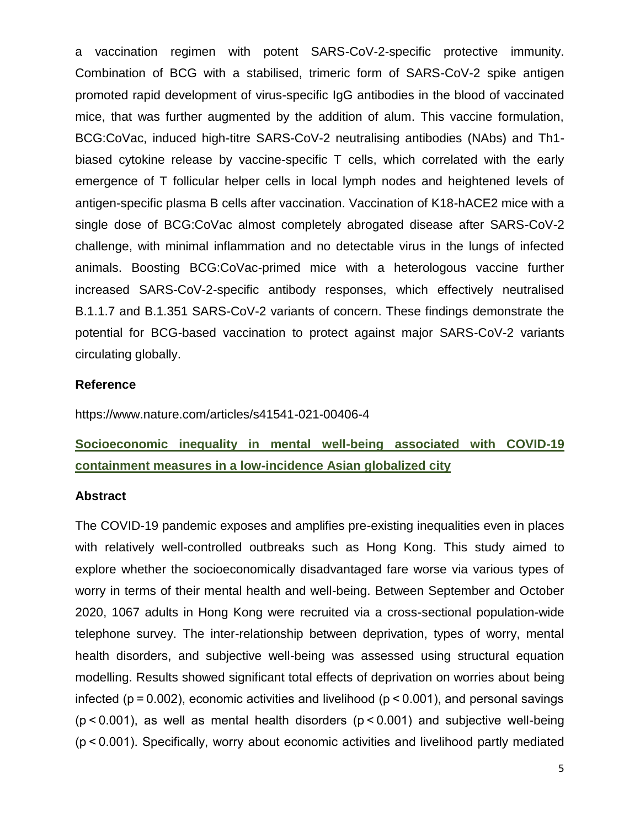a vaccination regimen with potent SARS-CoV-2-specific protective immunity. Combination of BCG with a stabilised, trimeric form of SARS-CoV-2 spike antigen promoted rapid development of virus-specific IgG antibodies in the blood of vaccinated mice, that was further augmented by the addition of alum. This vaccine formulation, BCG:CoVac, induced high-titre SARS-CoV-2 neutralising antibodies (NAbs) and Th1 biased cytokine release by vaccine-specific T cells, which correlated with the early emergence of T follicular helper cells in local lymph nodes and heightened levels of antigen-specific plasma B cells after vaccination. Vaccination of K18-hACE2 mice with a single dose of BCG:CoVac almost completely abrogated disease after SARS-CoV-2 challenge, with minimal inflammation and no detectable virus in the lungs of infected animals. Boosting BCG:CoVac-primed mice with a heterologous vaccine further increased SARS-CoV-2-specific antibody responses, which effectively neutralised B.1.1.7 and B.1.351 SARS-CoV-2 variants of concern. These findings demonstrate the potential for BCG-based vaccination to protect against major SARS-CoV-2 variants circulating globally.

### **Reference**

https://www.nature.com/articles/s41541-021-00406-4

### **Socioeconomic inequality in mental well-being associated with COVID-19 containment measures in a low-incidence Asian globalized city**

### **Abstract**

The COVID-19 pandemic exposes and amplifies pre-existing inequalities even in places with relatively well-controlled outbreaks such as Hong Kong. This study aimed to explore whether the socioeconomically disadvantaged fare worse via various types of worry in terms of their mental health and well-being. Between September and October 2020, 1067 adults in Hong Kong were recruited via a cross-sectional population-wide telephone survey. The inter-relationship between deprivation, types of worry, mental health disorders, and subjective well-being was assessed using structural equation modelling. Results showed significant total effects of deprivation on worries about being infected ( $p = 0.002$ ), economic activities and livelihood ( $p \le 0.001$ ), and personal savings (p < 0.001), as well as mental health disorders (p < 0.001) and subjective well-being (p < 0.001). Specifically, worry about economic activities and livelihood partly mediated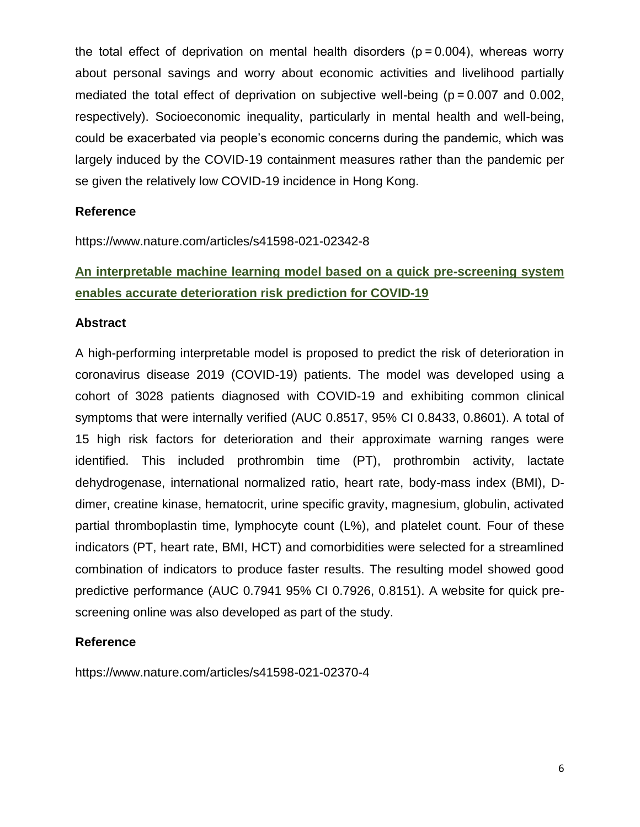the total effect of deprivation on mental health disorders ( $p = 0.004$ ), whereas worry about personal savings and worry about economic activities and livelihood partially mediated the total effect of deprivation on subjective well-being ( $p = 0.007$  and 0.002, respectively). Socioeconomic inequality, particularly in mental health and well-being, could be exacerbated via people's economic concerns during the pandemic, which was largely induced by the COVID-19 containment measures rather than the pandemic per se given the relatively low COVID-19 incidence in Hong Kong.

### **Reference**

https://www.nature.com/articles/s41598-021-02342-8

### **An interpretable machine learning model based on a quick pre-screening system enables accurate deterioration risk prediction for COVID-19**

### **Abstract**

A high-performing interpretable model is proposed to predict the risk of deterioration in coronavirus disease 2019 (COVID-19) patients. The model was developed using a cohort of 3028 patients diagnosed with COVID-19 and exhibiting common clinical symptoms that were internally verified (AUC 0.8517, 95% CI 0.8433, 0.8601). A total of 15 high risk factors for deterioration and their approximate warning ranges were identified. This included prothrombin time (PT), prothrombin activity, lactate dehydrogenase, international normalized ratio, heart rate, body-mass index (BMI), Ddimer, creatine kinase, hematocrit, urine specific gravity, magnesium, globulin, activated partial thromboplastin time, lymphocyte count (L%), and platelet count. Four of these indicators (PT, heart rate, BMI, HCT) and comorbidities were selected for a streamlined combination of indicators to produce faster results. The resulting model showed good predictive performance (AUC 0.7941 95% CI 0.7926, 0.8151). A website for quick prescreening online was also developed as part of the study.

### **Reference**

https://www.nature.com/articles/s41598-021-02370-4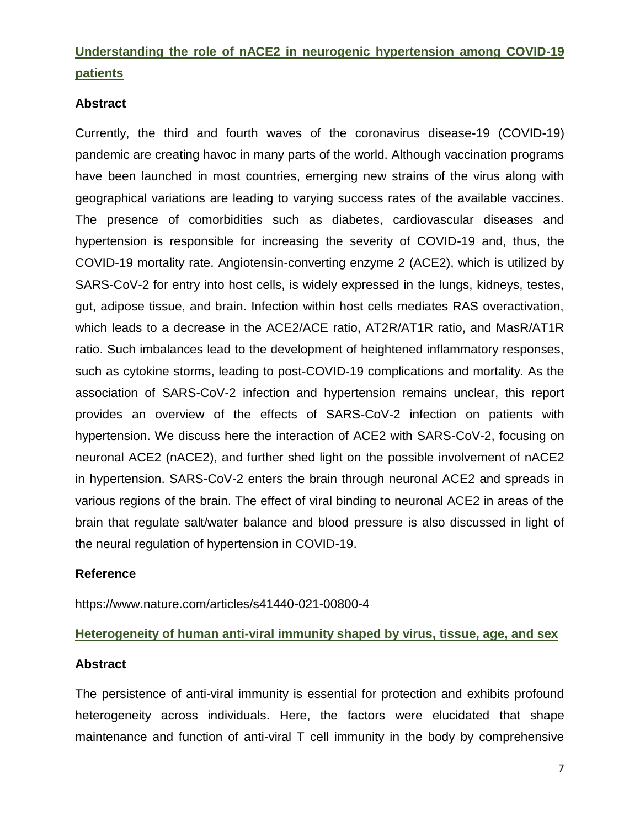### **Understanding the role of nACE2 in neurogenic hypertension among COVID-19 patients**

### **Abstract**

Currently, the third and fourth waves of the coronavirus disease-19 (COVID-19) pandemic are creating havoc in many parts of the world. Although vaccination programs have been launched in most countries, emerging new strains of the virus along with geographical variations are leading to varying success rates of the available vaccines. The presence of comorbidities such as diabetes, cardiovascular diseases and hypertension is responsible for increasing the severity of COVID-19 and, thus, the COVID-19 mortality rate. Angiotensin-converting enzyme 2 (ACE2), which is utilized by SARS-CoV-2 for entry into host cells, is widely expressed in the lungs, kidneys, testes, gut, adipose tissue, and brain. Infection within host cells mediates RAS overactivation, which leads to a decrease in the ACE2/ACE ratio, AT2R/AT1R ratio, and MasR/AT1R ratio. Such imbalances lead to the development of heightened inflammatory responses, such as cytokine storms, leading to post-COVID-19 complications and mortality. As the association of SARS-CoV-2 infection and hypertension remains unclear, this report provides an overview of the effects of SARS-CoV-2 infection on patients with hypertension. We discuss here the interaction of ACE2 with SARS-CoV-2, focusing on neuronal ACE2 (nACE2), and further shed light on the possible involvement of nACE2 in hypertension. SARS-CoV-2 enters the brain through neuronal ACE2 and spreads in various regions of the brain. The effect of viral binding to neuronal ACE2 in areas of the brain that regulate salt/water balance and blood pressure is also discussed in light of the neural regulation of hypertension in COVID-19.

### **Reference**

https://www.nature.com/articles/s41440-021-00800-4

### **Heterogeneity of human anti-viral immunity shaped by virus, tissue, age, and sex**

### **Abstract**

The persistence of anti-viral immunity is essential for protection and exhibits profound heterogeneity across individuals. Here, the factors were elucidated that shape maintenance and function of anti-viral T cell immunity in the body by comprehensive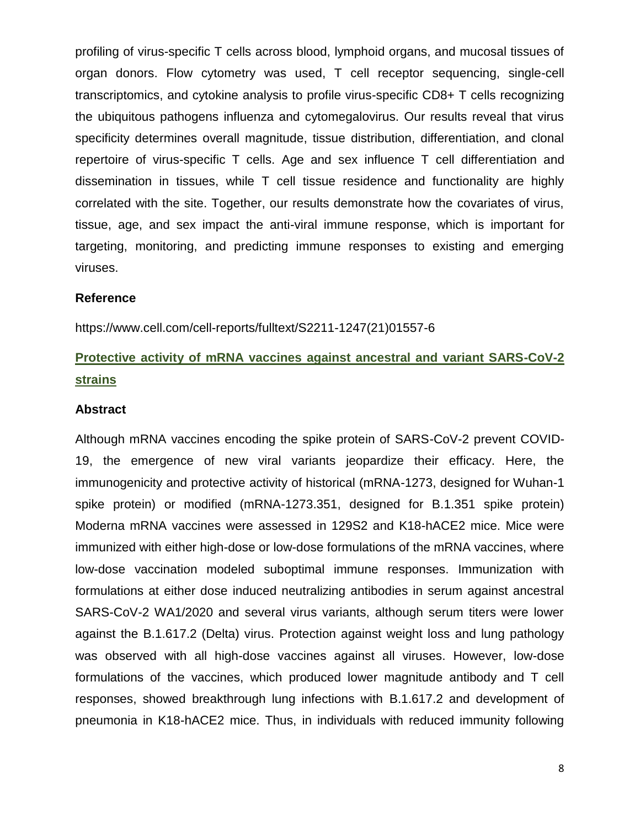profiling of virus-specific T cells across blood, lymphoid organs, and mucosal tissues of organ donors. Flow cytometry was used, T cell receptor sequencing, single-cell transcriptomics, and cytokine analysis to profile virus-specific CD8+ T cells recognizing the ubiquitous pathogens influenza and cytomegalovirus. Our results reveal that virus specificity determines overall magnitude, tissue distribution, differentiation, and clonal repertoire of virus-specific T cells. Age and sex influence T cell differentiation and dissemination in tissues, while T cell tissue residence and functionality are highly correlated with the site. Together, our results demonstrate how the covariates of virus, tissue, age, and sex impact the anti-viral immune response, which is important for targeting, monitoring, and predicting immune responses to existing and emerging viruses.

#### **Reference**

https://www.cell.com/cell-reports/fulltext/S2211-1247(21)01557-6

# **Protective activity of mRNA vaccines against ancestral and variant SARS-CoV-2 strains**

#### **Abstract**

Although mRNA vaccines encoding the spike protein of SARS-CoV-2 prevent COVID-19, the emergence of new viral variants jeopardize their efficacy. Here, the immunogenicity and protective activity of historical (mRNA-1273, designed for Wuhan-1 spike protein) or modified (mRNA-1273.351, designed for B.1.351 spike protein) Moderna mRNA vaccines were assessed in 129S2 and K18-hACE2 mice. Mice were immunized with either high-dose or low-dose formulations of the mRNA vaccines, where low-dose vaccination modeled suboptimal immune responses. Immunization with formulations at either dose induced neutralizing antibodies in serum against ancestral SARS-CoV-2 WA1/2020 and several virus variants, although serum titers were lower against the B.1.617.2 (Delta) virus. Protection against weight loss and lung pathology was observed with all high-dose vaccines against all viruses. However, low-dose formulations of the vaccines, which produced lower magnitude antibody and T cell responses, showed breakthrough lung infections with B.1.617.2 and development of pneumonia in K18-hACE2 mice. Thus, in individuals with reduced immunity following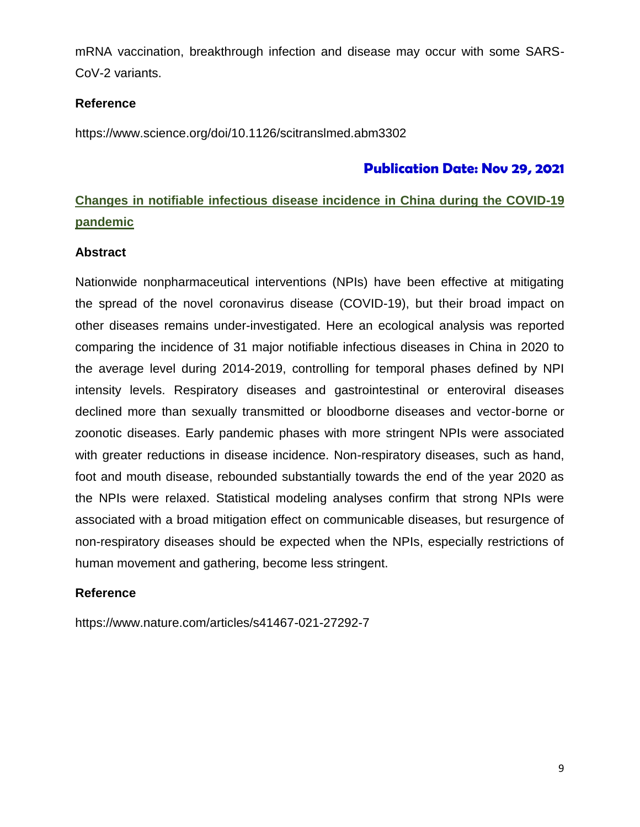mRNA vaccination, breakthrough infection and disease may occur with some SARS-CoV-2 variants.

### **Reference**

https://www.science.org/doi/10.1126/scitranslmed.abm3302

### **Publication Date: Nov 29, 2021**

### **Changes in notifiable infectious disease incidence in China during the COVID-19 pandemic**

### **Abstract**

Nationwide nonpharmaceutical interventions (NPIs) have been effective at mitigating the spread of the novel coronavirus disease (COVID-19), but their broad impact on other diseases remains under-investigated. Here an ecological analysis was reported comparing the incidence of 31 major notifiable infectious diseases in China in 2020 to the average level during 2014-2019, controlling for temporal phases defined by NPI intensity levels. Respiratory diseases and gastrointestinal or enteroviral diseases declined more than sexually transmitted or bloodborne diseases and vector-borne or zoonotic diseases. Early pandemic phases with more stringent NPIs were associated with greater reductions in disease incidence. Non-respiratory diseases, such as hand, foot and mouth disease, rebounded substantially towards the end of the year 2020 as the NPIs were relaxed. Statistical modeling analyses confirm that strong NPIs were associated with a broad mitigation effect on communicable diseases, but resurgence of non-respiratory diseases should be expected when the NPIs, especially restrictions of human movement and gathering, become less stringent.

### **Reference**

https://www.nature.com/articles/s41467-021-27292-7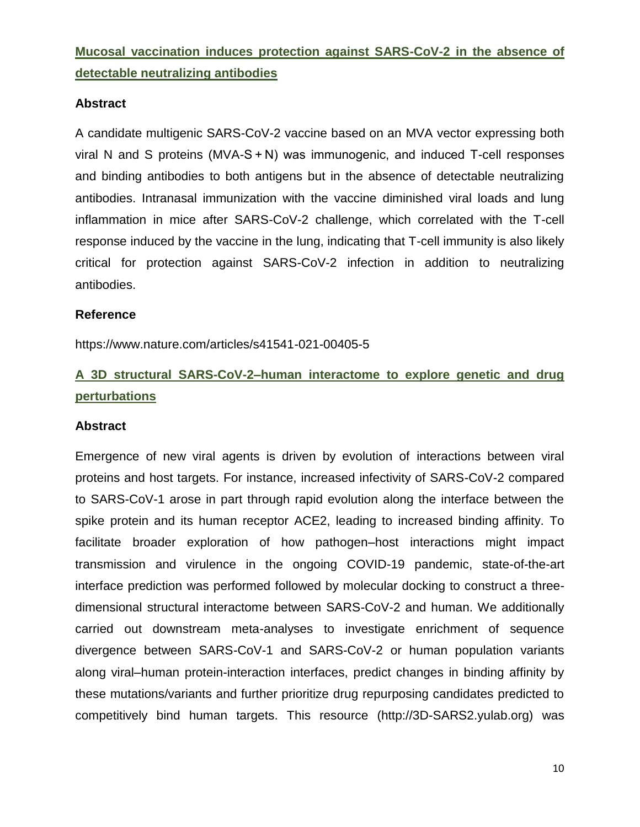**Mucosal vaccination induces protection against SARS-CoV-2 in the absence of detectable neutralizing antibodies**

### **Abstract**

A candidate multigenic SARS-CoV-2 vaccine based on an MVA vector expressing both viral N and S proteins (MVA-S + N) was immunogenic, and induced T-cell responses and binding antibodies to both antigens but in the absence of detectable neutralizing antibodies. Intranasal immunization with the vaccine diminished viral loads and lung inflammation in mice after SARS-CoV-2 challenge, which correlated with the T-cell response induced by the vaccine in the lung, indicating that T-cell immunity is also likely critical for protection against SARS-CoV-2 infection in addition to neutralizing antibodies.

### **Reference**

https://www.nature.com/articles/s41541-021-00405-5

### **A 3D structural SARS-CoV-2–human interactome to explore genetic and drug perturbations**

### **Abstract**

Emergence of new viral agents is driven by evolution of interactions between viral proteins and host targets. For instance, increased infectivity of SARS-CoV-2 compared to SARS-CoV-1 arose in part through rapid evolution along the interface between the spike protein and its human receptor ACE2, leading to increased binding affinity. To facilitate broader exploration of how pathogen–host interactions might impact transmission and virulence in the ongoing COVID-19 pandemic, state-of-the-art interface prediction was performed followed by molecular docking to construct a threedimensional structural interactome between SARS-CoV-2 and human. We additionally carried out downstream meta-analyses to investigate enrichment of sequence divergence between SARS-CoV-1 and SARS-CoV-2 or human population variants along viral–human protein-interaction interfaces, predict changes in binding affinity by these mutations/variants and further prioritize drug repurposing candidates predicted to competitively bind human targets. This resource (http://3D-SARS2.yulab.org) was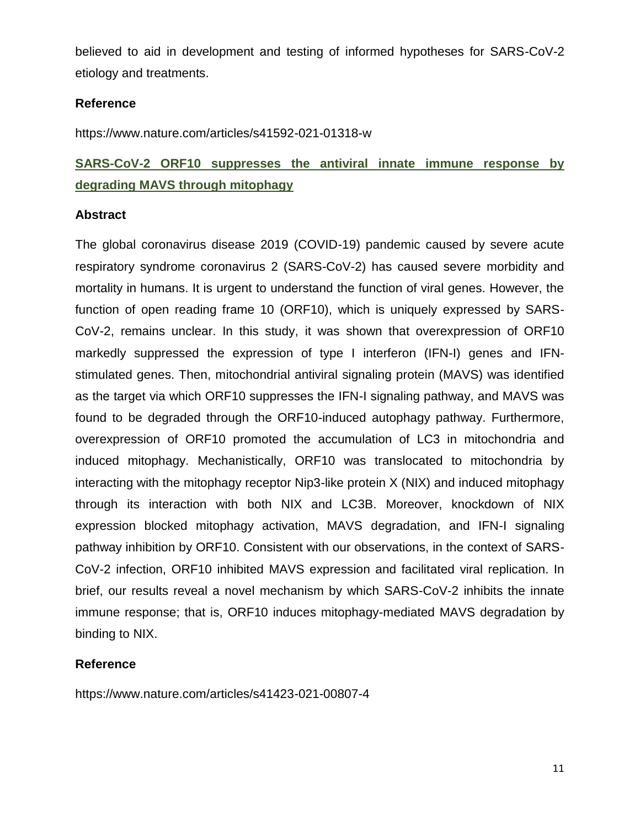believed to aid in development and testing of informed hypotheses for SARS-CoV-2 etiology and treatments.

### **Reference**

https://www.nature.com/articles/s41592-021-01318-w

# **SARS-CoV-2 ORF10 suppresses the antiviral innate immune response by degrading MAVS through mitophagy**

### **Abstract**

The global coronavirus disease 2019 (COVID-19) pandemic caused by severe acute respiratory syndrome coronavirus 2 (SARS-CoV-2) has caused severe morbidity and mortality in humans. It is urgent to understand the function of viral genes. However, the function of open reading frame 10 (ORF10), which is uniquely expressed by SARS-CoV-2, remains unclear. In this study, it was shown that overexpression of ORF10 markedly suppressed the expression of type I interferon (IFN-I) genes and IFNstimulated genes. Then, mitochondrial antiviral signaling protein (MAVS) was identified as the target via which ORF10 suppresses the IFN-I signaling pathway, and MAVS was found to be degraded through the ORF10-induced autophagy pathway. Furthermore, overexpression of ORF10 promoted the accumulation of LC3 in mitochondria and induced mitophagy. Mechanistically, ORF10 was translocated to mitochondria by interacting with the mitophagy receptor Nip3-like protein X (NIX) and induced mitophagy through its interaction with both NIX and LC3B. Moreover, knockdown of NIX expression blocked mitophagy activation, MAVS degradation, and IFN-I signaling pathway inhibition by ORF10. Consistent with our observations, in the context of SARS-CoV-2 infection, ORF10 inhibited MAVS expression and facilitated viral replication. In brief, our results reveal a novel mechanism by which SARS-CoV-2 inhibits the innate immune response; that is, ORF10 induces mitophagy-mediated MAVS degradation by binding to NIX.

### **Reference**

https://www.nature.com/articles/s41423-021-00807-4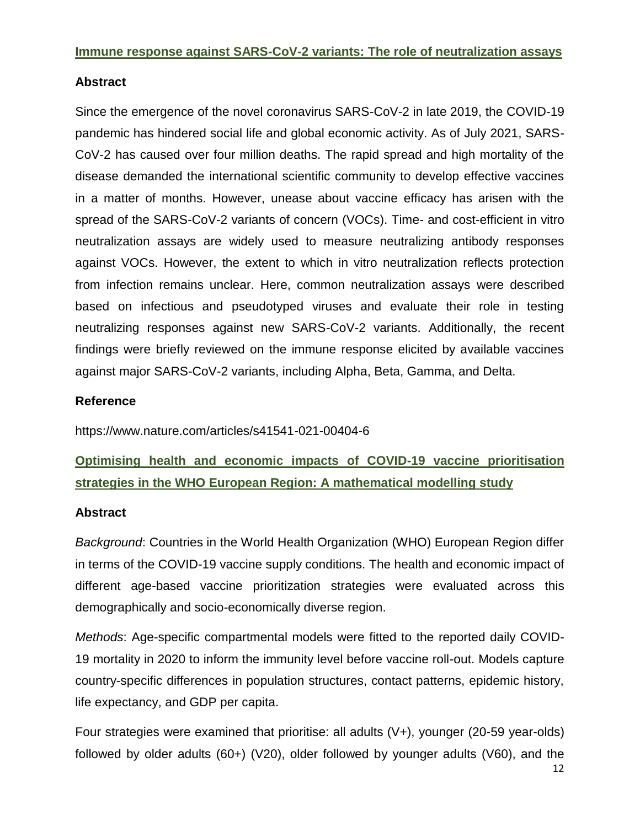### **Immune response against SARS-CoV-2 variants: The role of neutralization assays**

### **Abstract**

Since the emergence of the novel coronavirus SARS-CoV-2 in late 2019, the COVID-19 pandemic has hindered social life and global economic activity. As of July 2021, SARS-CoV-2 has caused over four million deaths. The rapid spread and high mortality of the disease demanded the international scientific community to develop effective vaccines in a matter of months. However, unease about vaccine efficacy has arisen with the spread of the SARS-CoV-2 variants of concern (VOCs). Time- and cost-efficient in vitro neutralization assays are widely used to measure neutralizing antibody responses against VOCs. However, the extent to which in vitro neutralization reflects protection from infection remains unclear. Here, common neutralization assays were described based on infectious and pseudotyped viruses and evaluate their role in testing neutralizing responses against new SARS-CoV-2 variants. Additionally, the recent findings were briefly reviewed on the immune response elicited by available vaccines against major SARS-CoV-2 variants, including Alpha, Beta, Gamma, and Delta.

### **Reference**

https://www.nature.com/articles/s41541-021-00404-6

**Optimising health and economic impacts of COVID-19 vaccine prioritisation strategies in the WHO European Region: A mathematical modelling study**

### **Abstract**

*Background*: Countries in the World Health Organization (WHO) European Region differ in terms of the COVID-19 vaccine supply conditions. The health and economic impact of different age-based vaccine prioritization strategies were evaluated across this demographically and socio-economically diverse region.

*Methods*: Age-specific compartmental models were fitted to the reported daily COVID-19 mortality in 2020 to inform the immunity level before vaccine roll-out. Models capture country-specific differences in population structures, contact patterns, epidemic history, life expectancy, and GDP per capita.

Four strategies were examined that prioritise: all adults (V+), younger (20-59 year-olds) followed by older adults (60+) (V20), older followed by younger adults (V60), and the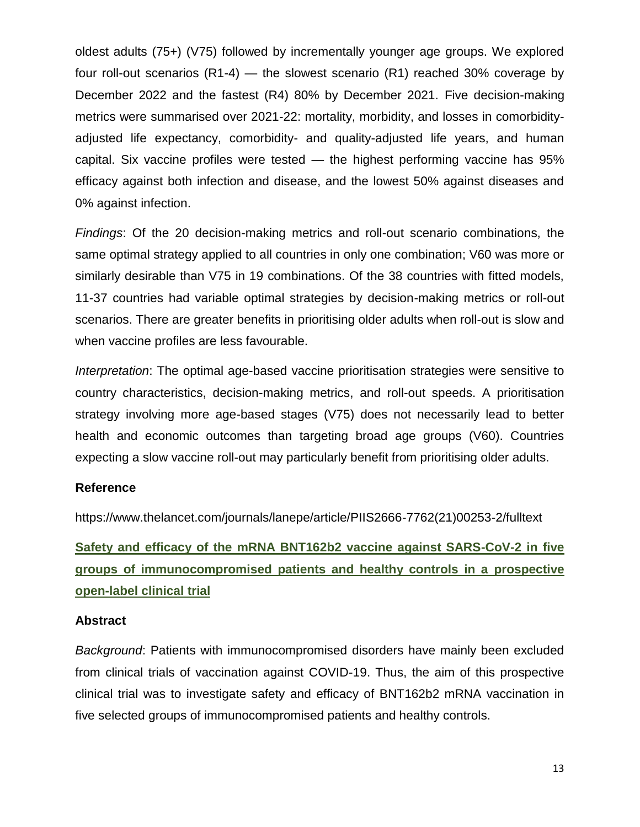oldest adults (75+) (V75) followed by incrementally younger age groups. We explored four roll-out scenarios (R1-4) — the slowest scenario (R1) reached 30% coverage by December 2022 and the fastest (R4) 80% by December 2021. Five decision-making metrics were summarised over 2021-22: mortality, morbidity, and losses in comorbidityadjusted life expectancy, comorbidity- and quality-adjusted life years, and human capital. Six vaccine profiles were tested — the highest performing vaccine has 95% efficacy against both infection and disease, and the lowest 50% against diseases and 0% against infection.

*Findings*: Of the 20 decision-making metrics and roll-out scenario combinations, the same optimal strategy applied to all countries in only one combination; V60 was more or similarly desirable than V75 in 19 combinations. Of the 38 countries with fitted models, 11-37 countries had variable optimal strategies by decision-making metrics or roll-out scenarios. There are greater benefits in prioritising older adults when roll-out is slow and when vaccine profiles are less favourable.

*Interpretation*: The optimal age-based vaccine prioritisation strategies were sensitive to country characteristics, decision-making metrics, and roll-out speeds. A prioritisation strategy involving more age-based stages (V75) does not necessarily lead to better health and economic outcomes than targeting broad age groups (V60). Countries expecting a slow vaccine roll-out may particularly benefit from prioritising older adults.

### **Reference**

https://www.thelancet.com/journals/lanepe/article/PIIS2666-7762(21)00253-2/fulltext

**Safety and efficacy of the mRNA BNT162b2 vaccine against SARS-CoV-2 in five groups of immunocompromised patients and healthy controls in a prospective open-label clinical trial**

### **Abstract**

*Background*: Patients with immunocompromised disorders have mainly been excluded from clinical trials of vaccination against COVID-19. Thus, the aim of this prospective clinical trial was to investigate safety and efficacy of BNT162b2 mRNA vaccination in five selected groups of immunocompromised patients and healthy controls.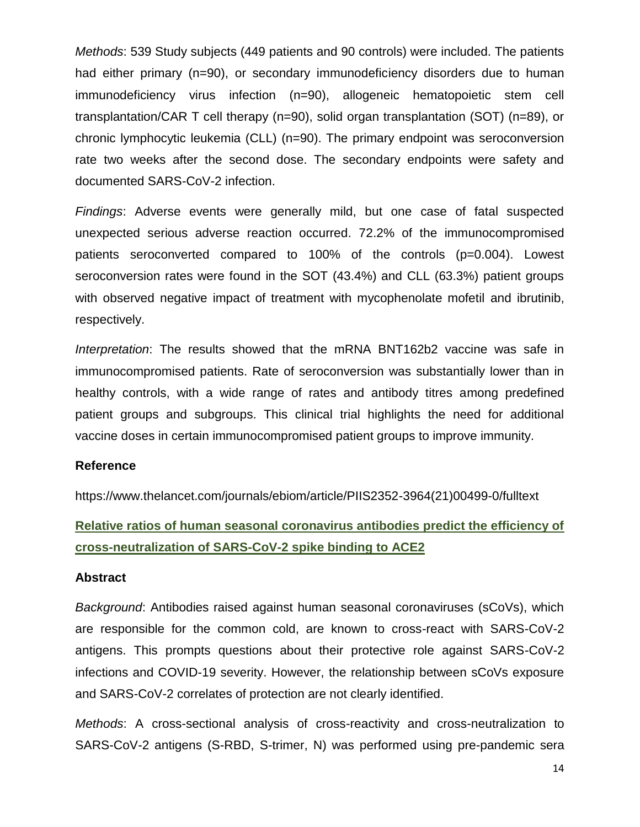*Methods*: 539 Study subjects (449 patients and 90 controls) were included. The patients had either primary (n=90), or secondary immunodeficiency disorders due to human immunodeficiency virus infection (n=90), allogeneic hematopoietic stem cell transplantation/CAR T cell therapy (n=90), solid organ transplantation (SOT) (n=89), or chronic lymphocytic leukemia (CLL) (n=90). The primary endpoint was seroconversion rate two weeks after the second dose. The secondary endpoints were safety and documented SARS-CoV-2 infection.

*Findings*: Adverse events were generally mild, but one case of fatal suspected unexpected serious adverse reaction occurred. 72.2% of the immunocompromised patients seroconverted compared to 100% of the controls (p=0.004). Lowest seroconversion rates were found in the SOT (43.4%) and CLL (63.3%) patient groups with observed negative impact of treatment with mycophenolate mofetil and ibrutinib, respectively.

*Interpretation*: The results showed that the mRNA BNT162b2 vaccine was safe in immunocompromised patients. Rate of seroconversion was substantially lower than in healthy controls, with a wide range of rates and antibody titres among predefined patient groups and subgroups. This clinical trial highlights the need for additional vaccine doses in certain immunocompromised patient groups to improve immunity.

### **Reference**

https://www.thelancet.com/journals/ebiom/article/PIIS2352-3964(21)00499-0/fulltext

**Relative ratios of human seasonal coronavirus antibodies predict the efficiency of cross-neutralization of SARS-CoV-2 spike binding to ACE2**

### **Abstract**

*Background*: Antibodies raised against human seasonal coronaviruses (sCoVs), which are responsible for the common cold, are known to cross-react with SARS-CoV-2 antigens. This prompts questions about their protective role against SARS-CoV-2 infections and COVID-19 severity. However, the relationship between sCoVs exposure and SARS-CoV-2 correlates of protection are not clearly identified.

*Methods*: A cross-sectional analysis of cross-reactivity and cross-neutralization to SARS-CoV-2 antigens (S-RBD, S-trimer, N) was performed using pre-pandemic sera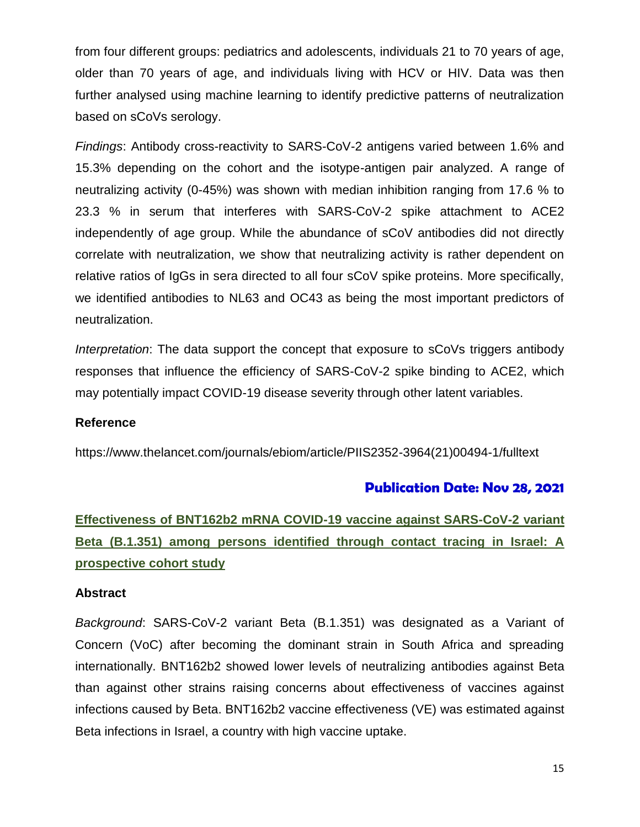from four different groups: pediatrics and adolescents, individuals 21 to 70 years of age, older than 70 years of age, and individuals living with HCV or HIV. Data was then further analysed using machine learning to identify predictive patterns of neutralization based on sCoVs serology.

*Findings*: Antibody cross-reactivity to SARS-CoV-2 antigens varied between 1.6% and 15.3% depending on the cohort and the isotype-antigen pair analyzed. A range of neutralizing activity (0-45%) was shown with median inhibition ranging from 17.6 % to 23.3 % in serum that interferes with SARS-CoV-2 spike attachment to ACE2 independently of age group. While the abundance of sCoV antibodies did not directly correlate with neutralization, we show that neutralizing activity is rather dependent on relative ratios of IgGs in sera directed to all four sCoV spike proteins. More specifically, we identified antibodies to NL63 and OC43 as being the most important predictors of neutralization.

*Interpretation*: The data support the concept that exposure to sCoVs triggers antibody responses that influence the efficiency of SARS-CoV-2 spike binding to ACE2, which may potentially impact COVID-19 disease severity through other latent variables.

### **Reference**

https://www.thelancet.com/journals/ebiom/article/PIIS2352-3964(21)00494-1/fulltext

### **Publication Date: Nov 28, 2021**

# **Effectiveness of BNT162b2 mRNA COVID-19 vaccine against SARS-CoV-2 variant Beta (B.1.351) among persons identified through contact tracing in Israel: A prospective cohort study**

### **Abstract**

*Background*: SARS-CoV-2 variant Beta (B.1.351) was designated as a Variant of Concern (VoC) after becoming the dominant strain in South Africa and spreading internationally. BNT162b2 showed lower levels of neutralizing antibodies against Beta than against other strains raising concerns about effectiveness of vaccines against infections caused by Beta. BNT162b2 vaccine effectiveness (VE) was estimated against Beta infections in Israel, a country with high vaccine uptake.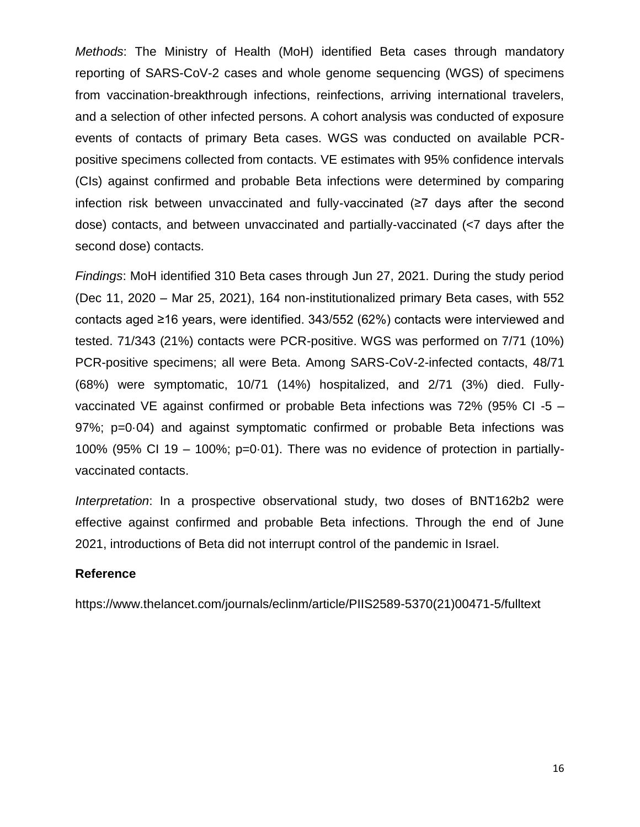*Methods*: The Ministry of Health (MoH) identified Beta cases through mandatory reporting of SARS-CoV-2 cases and whole genome sequencing (WGS) of specimens from vaccination-breakthrough infections, reinfections, arriving international travelers, and a selection of other infected persons. A cohort analysis was conducted of exposure events of contacts of primary Beta cases. WGS was conducted on available PCRpositive specimens collected from contacts. VE estimates with 95% confidence intervals (CIs) against confirmed and probable Beta infections were determined by comparing infection risk between unvaccinated and fully-vaccinated (≥7 days after the second dose) contacts, and between unvaccinated and partially-vaccinated (<7 days after the second dose) contacts.

*Findings*: MoH identified 310 Beta cases through Jun 27, 2021. During the study period (Dec 11, 2020 – Mar 25, 2021), 164 non-institutionalized primary Beta cases, with 552 contacts aged ≥16 years, were identified. 343/552 (62%) contacts were interviewed and tested. 71/343 (21%) contacts were PCR-positive. WGS was performed on 7/71 (10%) PCR-positive specimens; all were Beta. Among SARS-CoV-2-infected contacts, 48/71 (68%) were symptomatic, 10/71 (14%) hospitalized, and 2/71 (3%) died. Fullyvaccinated VE against confirmed or probable Beta infections was 72% (95% CI -5 – 97%; p=0·04) and against symptomatic confirmed or probable Beta infections was 100% (95% CI 19 – 100%; p=0·01). There was no evidence of protection in partiallyvaccinated contacts.

*Interpretation*: In a prospective observational study, two doses of BNT162b2 were effective against confirmed and probable Beta infections. Through the end of June 2021, introductions of Beta did not interrupt control of the pandemic in Israel.

### **Reference**

https://www.thelancet.com/journals/eclinm/article/PIIS2589-5370(21)00471-5/fulltext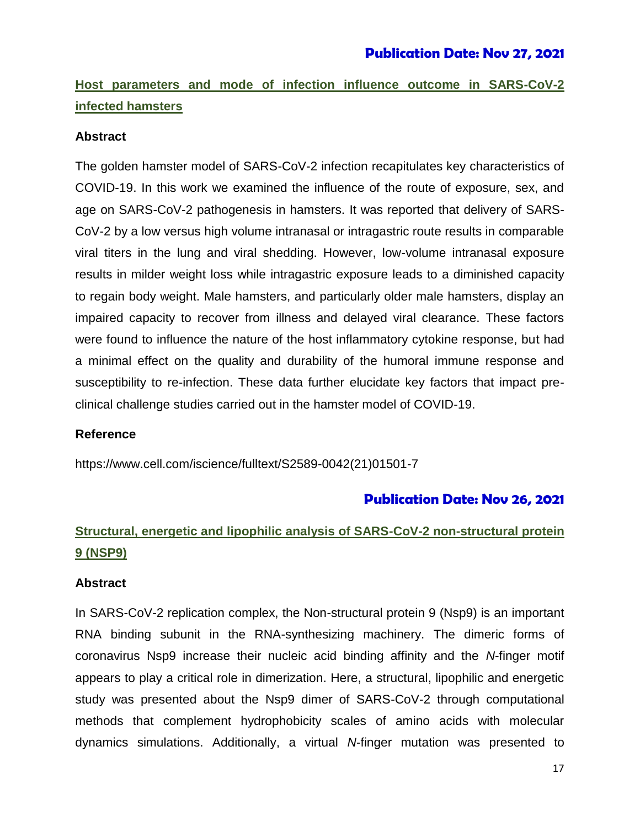# **Host parameters and mode of infection influence outcome in SARS-CoV-2 infected hamsters**

### **Abstract**

The golden hamster model of SARS-CoV-2 infection recapitulates key characteristics of COVID-19. In this work we examined the influence of the route of exposure, sex, and age on SARS-CoV-2 pathogenesis in hamsters. It was reported that delivery of SARS-CoV-2 by a low versus high volume intranasal or intragastric route results in comparable viral titers in the lung and viral shedding. However, low-volume intranasal exposure results in milder weight loss while intragastric exposure leads to a diminished capacity to regain body weight. Male hamsters, and particularly older male hamsters, display an impaired capacity to recover from illness and delayed viral clearance. These factors were found to influence the nature of the host inflammatory cytokine response, but had a minimal effect on the quality and durability of the humoral immune response and susceptibility to re-infection. These data further elucidate key factors that impact preclinical challenge studies carried out in the hamster model of COVID-19.

### **Reference**

https://www.cell.com/iscience/fulltext/S2589-0042(21)01501-7

### **Publication Date: Nov 26, 2021**

# **Structural, energetic and lipophilic analysis of SARS-CoV-2 non-structural protein 9 (NSP9)**

### **Abstract**

In SARS-CoV-2 replication complex, the Non-structural protein 9 (Nsp9) is an important RNA binding subunit in the RNA-synthesizing machinery. The dimeric forms of coronavirus Nsp9 increase their nucleic acid binding affinity and the *N*-finger motif appears to play a critical role in dimerization. Here, a structural, lipophilic and energetic study was presented about the Nsp9 dimer of SARS-CoV-2 through computational methods that complement hydrophobicity scales of amino acids with molecular dynamics simulations. Additionally, a virtual *N*-finger mutation was presented to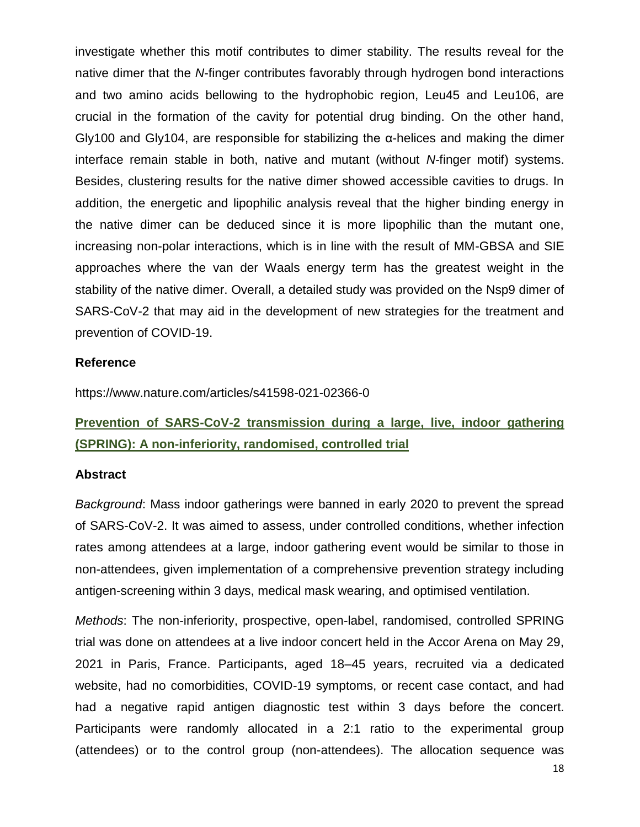investigate whether this motif contributes to dimer stability. The results reveal for the native dimer that the *N*-finger contributes favorably through hydrogen bond interactions and two amino acids bellowing to the hydrophobic region, Leu45 and Leu106, are crucial in the formation of the cavity for potential drug binding. On the other hand, Gly100 and Gly104, are responsible for stabilizing the  $\alpha$ -helices and making the dimer interface remain stable in both, native and mutant (without *N-*finger motif) systems. Besides, clustering results for the native dimer showed accessible cavities to drugs. In addition, the energetic and lipophilic analysis reveal that the higher binding energy in the native dimer can be deduced since it is more lipophilic than the mutant one, increasing non-polar interactions, which is in line with the result of MM-GBSA and SIE approaches where the van der Waals energy term has the greatest weight in the stability of the native dimer. Overall, a detailed study was provided on the Nsp9 dimer of SARS-CoV-2 that may aid in the development of new strategies for the treatment and prevention of COVID-19.

#### **Reference**

https://www.nature.com/articles/s41598-021-02366-0

### **Prevention of SARS-CoV-2 transmission during a large, live, indoor gathering (SPRING): A non-inferiority, randomised, controlled trial**

#### **Abstract**

*Background*: Mass indoor gatherings were banned in early 2020 to prevent the spread of SARS-CoV-2. It was aimed to assess, under controlled conditions, whether infection rates among attendees at a large, indoor gathering event would be similar to those in non-attendees, given implementation of a comprehensive prevention strategy including antigen-screening within 3 days, medical mask wearing, and optimised ventilation.

*Methods*: The non-inferiority, prospective, open-label, randomised, controlled SPRING trial was done on attendees at a live indoor concert held in the Accor Arena on May 29, 2021 in Paris, France. Participants, aged 18–45 years, recruited via a dedicated website, had no comorbidities, COVID-19 symptoms, or recent case contact, and had had a negative rapid antigen diagnostic test within 3 days before the concert. Participants were randomly allocated in a 2:1 ratio to the experimental group (attendees) or to the control group (non-attendees). The allocation sequence was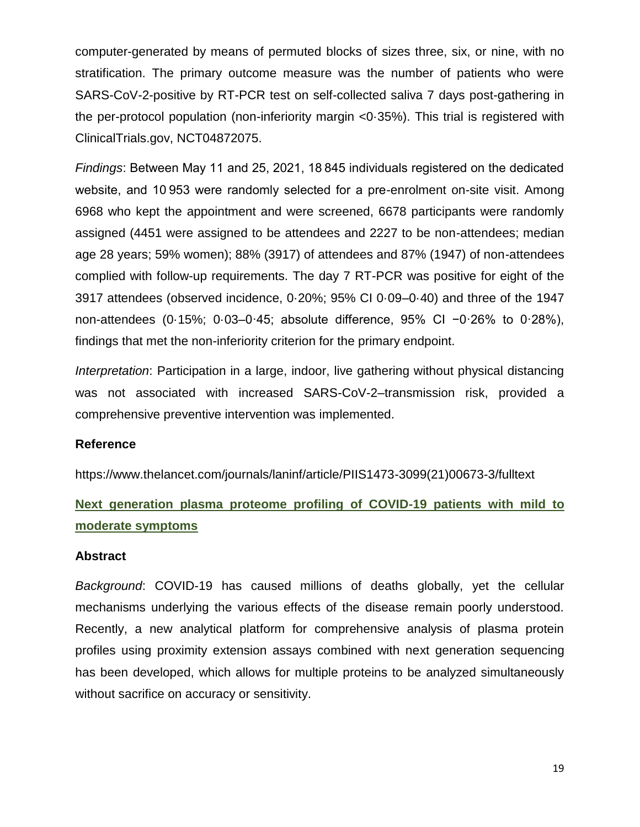computer-generated by means of permuted blocks of sizes three, six, or nine, with no stratification. The primary outcome measure was the number of patients who were SARS-CoV-2-positive by RT-PCR test on self-collected saliva 7 days post-gathering in the per-protocol population (non-inferiority margin <0·35%). This trial is registered with ClinicalTrials.gov, NCT04872075.

*Findings*: Between May 11 and 25, 2021, 18 845 individuals registered on the dedicated website, and 10 953 were randomly selected for a pre-enrolment on-site visit. Among 6968 who kept the appointment and were screened, 6678 participants were randomly assigned (4451 were assigned to be attendees and 2227 to be non-attendees; median age 28 years; 59% women); 88% (3917) of attendees and 87% (1947) of non-attendees complied with follow-up requirements. The day 7 RT-PCR was positive for eight of the 3917 attendees (observed incidence, 0·20%; 95% CI 0·09–0·40) and three of the 1947 non-attendees (0·15%; 0·03–0·45; absolute difference, 95% CI −0·26% to 0·28%), findings that met the non-inferiority criterion for the primary endpoint.

*Interpretation*: Participation in a large, indoor, live gathering without physical distancing was not associated with increased SARS-CoV-2–transmission risk, provided a comprehensive preventive intervention was implemented.

### **Reference**

https://www.thelancet.com/journals/laninf/article/PIIS1473-3099(21)00673-3/fulltext

### **Next generation plasma proteome profiling of COVID-19 patients with mild to moderate symptoms**

### **Abstract**

*Background*: COVID-19 has caused millions of deaths globally, yet the cellular mechanisms underlying the various effects of the disease remain poorly understood. Recently, a new analytical platform for comprehensive analysis of plasma protein profiles using proximity extension assays combined with next generation sequencing has been developed, which allows for multiple proteins to be analyzed simultaneously without sacrifice on accuracy or sensitivity.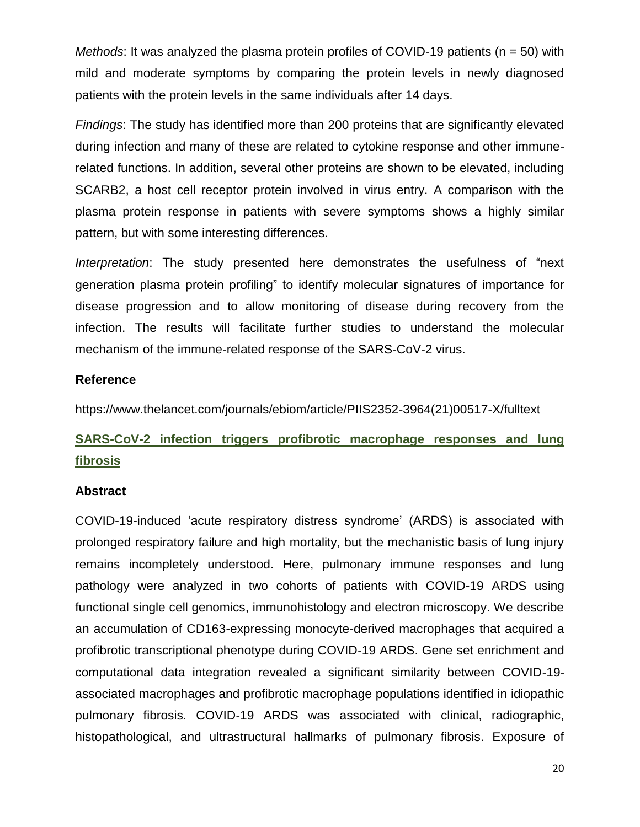*Methods*: It was analyzed the plasma protein profiles of COVID-19 patients (n = 50) with mild and moderate symptoms by comparing the protein levels in newly diagnosed patients with the protein levels in the same individuals after 14 days.

*Findings*: The study has identified more than 200 proteins that are significantly elevated during infection and many of these are related to cytokine response and other immunerelated functions. In addition, several other proteins are shown to be elevated, including SCARB2, a host cell receptor protein involved in virus entry. A comparison with the plasma protein response in patients with severe symptoms shows a highly similar pattern, but with some interesting differences.

*Interpretation*: The study presented here demonstrates the usefulness of "next generation plasma protein profiling" to identify molecular signatures of importance for disease progression and to allow monitoring of disease during recovery from the infection. The results will facilitate further studies to understand the molecular mechanism of the immune-related response of the SARS-CoV-2 virus.

### **Reference**

https://www.thelancet.com/journals/ebiom/article/PIIS2352-3964(21)00517-X/fulltext

# **SARS-CoV-2 infection triggers profibrotic macrophage responses and lung fibrosis**

### **Abstract**

COVID-19-induced 'acute respiratory distress syndrome' (ARDS) is associated with prolonged respiratory failure and high mortality, but the mechanistic basis of lung injury remains incompletely understood. Here, pulmonary immune responses and lung pathology were analyzed in two cohorts of patients with COVID-19 ARDS using functional single cell genomics, immunohistology and electron microscopy. We describe an accumulation of CD163-expressing monocyte-derived macrophages that acquired a profibrotic transcriptional phenotype during COVID-19 ARDS. Gene set enrichment and computational data integration revealed a significant similarity between COVID-19 associated macrophages and profibrotic macrophage populations identified in idiopathic pulmonary fibrosis. COVID-19 ARDS was associated with clinical, radiographic, histopathological, and ultrastructural hallmarks of pulmonary fibrosis. Exposure of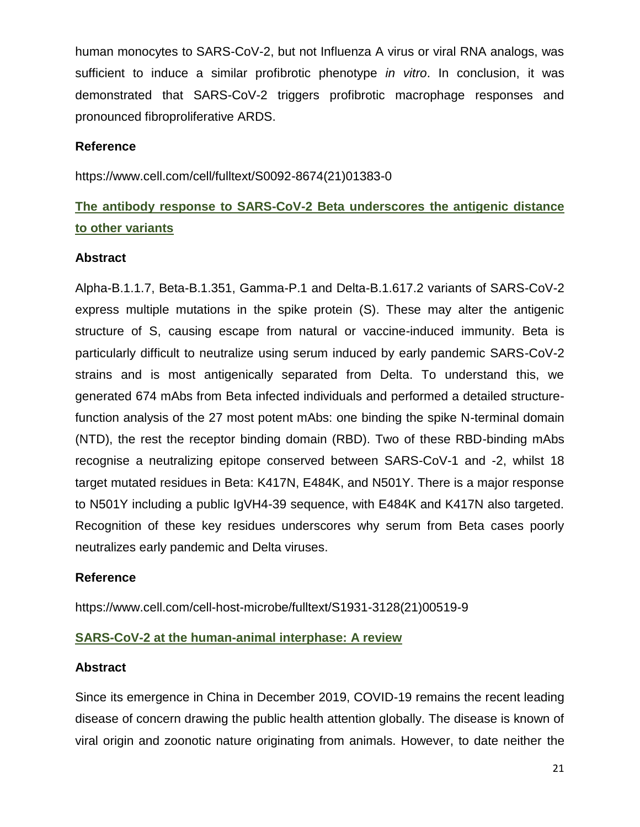human monocytes to SARS-CoV-2, but not Influenza A virus or viral RNA analogs, was sufficient to induce a similar profibrotic phenotype *in vitro*. In conclusion, it was demonstrated that SARS-CoV-2 triggers profibrotic macrophage responses and pronounced fibroproliferative ARDS.

### **Reference**

https://www.cell.com/cell/fulltext/S0092-8674(21)01383-0

# **The antibody response to SARS-CoV-2 Beta underscores the antigenic distance to other variants**

### **Abstract**

Alpha-B.1.1.7, Beta-B.1.351, Gamma-P.1 and Delta-B.1.617.2 variants of SARS-CoV-2 express multiple mutations in the spike protein (S). These may alter the antigenic structure of S, causing escape from natural or vaccine-induced immunity. Beta is particularly difficult to neutralize using serum induced by early pandemic SARS-CoV-2 strains and is most antigenically separated from Delta. To understand this, we generated 674 mAbs from Beta infected individuals and performed a detailed structurefunction analysis of the 27 most potent mAbs: one binding the spike N-terminal domain (NTD), the rest the receptor binding domain (RBD). Two of these RBD-binding mAbs recognise a neutralizing epitope conserved between SARS-CoV-1 and -2, whilst 18 target mutated residues in Beta: K417N, E484K, and N501Y. There is a major response to N501Y including a public IgVH4-39 sequence, with E484K and K417N also targeted. Recognition of these key residues underscores why serum from Beta cases poorly neutralizes early pandemic and Delta viruses.

### **Reference**

https://www.cell.com/cell-host-microbe/fulltext/S1931-3128(21)00519-9

### **SARS-CoV-2 at the human-animal interphase: A review**

### **Abstract**

Since its emergence in China in December 2019, COVID-19 remains the recent leading disease of concern drawing the public health attention globally. The disease is known of viral origin and zoonotic nature originating from animals. However, to date neither the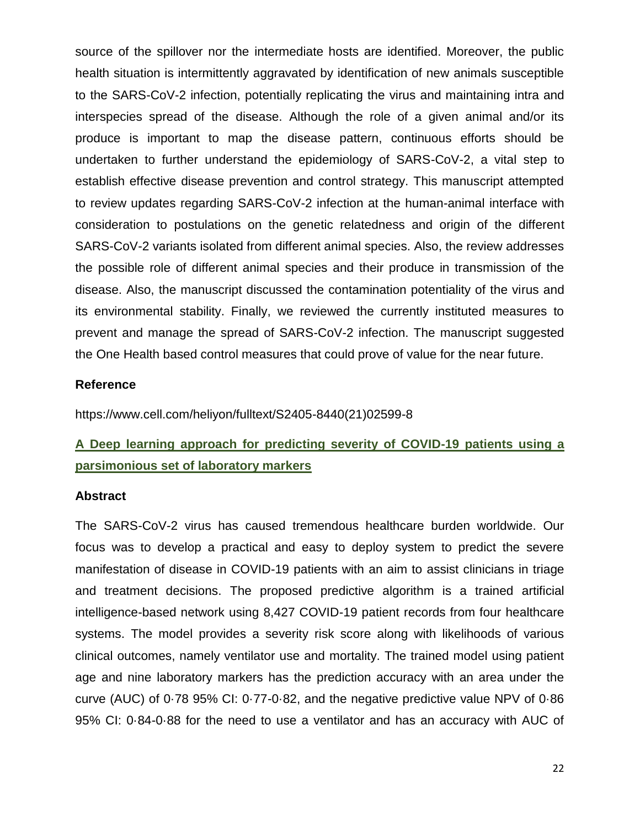source of the spillover nor the intermediate hosts are identified. Moreover, the public health situation is intermittently aggravated by identification of new animals susceptible to the SARS-CoV-2 infection, potentially replicating the virus and maintaining intra and interspecies spread of the disease. Although the role of a given animal and/or its produce is important to map the disease pattern, continuous efforts should be undertaken to further understand the epidemiology of SARS-CoV-2, a vital step to establish effective disease prevention and control strategy. This manuscript attempted to review updates regarding SARS-CoV-2 infection at the human-animal interface with consideration to postulations on the genetic relatedness and origin of the different SARS-CoV-2 variants isolated from different animal species. Also, the review addresses the possible role of different animal species and their produce in transmission of the disease. Also, the manuscript discussed the contamination potentiality of the virus and its environmental stability. Finally, we reviewed the currently instituted measures to prevent and manage the spread of SARS-CoV-2 infection. The manuscript suggested the One Health based control measures that could prove of value for the near future.

### **Reference**

https://www.cell.com/heliyon/fulltext/S2405-8440(21)02599-8

### **A Deep learning approach for predicting severity of COVID-19 patients using a parsimonious set of laboratory markers**

#### **Abstract**

The SARS-CoV-2 virus has caused tremendous healthcare burden worldwide. Our focus was to develop a practical and easy to deploy system to predict the severe manifestation of disease in COVID-19 patients with an aim to assist clinicians in triage and treatment decisions. The proposed predictive algorithm is a trained artificial intelligence-based network using 8,427 COVID-19 patient records from four healthcare systems. The model provides a severity risk score along with likelihoods of various clinical outcomes, namely ventilator use and mortality. The trained model using patient age and nine laboratory markers has the prediction accuracy with an area under the curve (AUC) of 0·78 95% CI: 0·77-0·82, and the negative predictive value NPV of 0·86 95% CI: 0·84-0·88 for the need to use a ventilator and has an accuracy with AUC of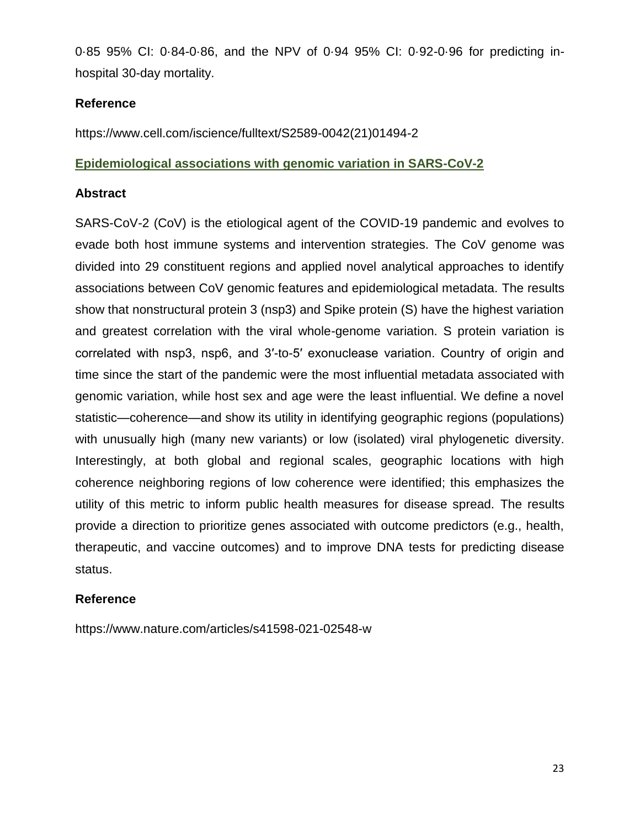0·85 95% CI: 0·84-0·86, and the NPV of 0·94 95% CI: 0·92-0·96 for predicting inhospital 30-day mortality.

### **Reference**

https://www.cell.com/iscience/fulltext/S2589-0042(21)01494-2

### **Epidemiological associations with genomic variation in SARS-CoV-2**

### **Abstract**

SARS-CoV-2 (CoV) is the etiological agent of the COVID-19 pandemic and evolves to evade both host immune systems and intervention strategies. The CoV genome was divided into 29 constituent regions and applied novel analytical approaches to identify associations between CoV genomic features and epidemiological metadata. The results show that nonstructural protein 3 (nsp3) and Spike protein (S) have the highest variation and greatest correlation with the viral whole-genome variation. S protein variation is correlated with nsp3, nsp6, and 3′-to-5′ exonuclease variation. Country of origin and time since the start of the pandemic were the most influential metadata associated with genomic variation, while host sex and age were the least influential. We define a novel statistic—coherence—and show its utility in identifying geographic regions (populations) with unusually high (many new variants) or low (isolated) viral phylogenetic diversity. Interestingly, at both global and regional scales, geographic locations with high coherence neighboring regions of low coherence were identified; this emphasizes the utility of this metric to inform public health measures for disease spread. The results provide a direction to prioritize genes associated with outcome predictors (e.g., health, therapeutic, and vaccine outcomes) and to improve DNA tests for predicting disease status.

### **Reference**

https://www.nature.com/articles/s41598-021-02548-w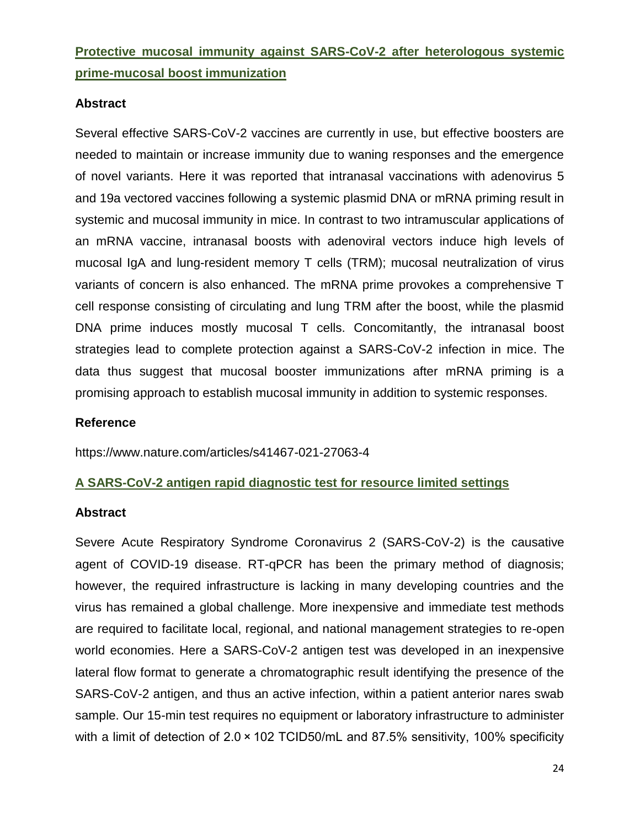**Protective mucosal immunity against SARS-CoV-2 after heterologous systemic prime-mucosal boost immunization**

### **Abstract**

Several effective SARS-CoV-2 vaccines are currently in use, but effective boosters are needed to maintain or increase immunity due to waning responses and the emergence of novel variants. Here it was reported that intranasal vaccinations with adenovirus 5 and 19a vectored vaccines following a systemic plasmid DNA or mRNA priming result in systemic and mucosal immunity in mice. In contrast to two intramuscular applications of an mRNA vaccine, intranasal boosts with adenoviral vectors induce high levels of mucosal IgA and lung-resident memory T cells (TRM); mucosal neutralization of virus variants of concern is also enhanced. The mRNA prime provokes a comprehensive T cell response consisting of circulating and lung TRM after the boost, while the plasmid DNA prime induces mostly mucosal T cells. Concomitantly, the intranasal boost strategies lead to complete protection against a SARS-CoV-2 infection in mice. The data thus suggest that mucosal booster immunizations after mRNA priming is a promising approach to establish mucosal immunity in addition to systemic responses.

### **Reference**

https://www.nature.com/articles/s41467-021-27063-4

### **A SARS-CoV-2 antigen rapid diagnostic test for resource limited settings**

### **Abstract**

Severe Acute Respiratory Syndrome Coronavirus 2 (SARS-CoV-2) is the causative agent of COVID-19 disease. RT-qPCR has been the primary method of diagnosis; however, the required infrastructure is lacking in many developing countries and the virus has remained a global challenge. More inexpensive and immediate test methods are required to facilitate local, regional, and national management strategies to re-open world economies. Here a SARS-CoV-2 antigen test was developed in an inexpensive lateral flow format to generate a chromatographic result identifying the presence of the SARS-CoV-2 antigen, and thus an active infection, within a patient anterior nares swab sample. Our 15-min test requires no equipment or laboratory infrastructure to administer with a limit of detection of 2.0 × 102 TCID50/mL and 87.5% sensitivity, 100% specificity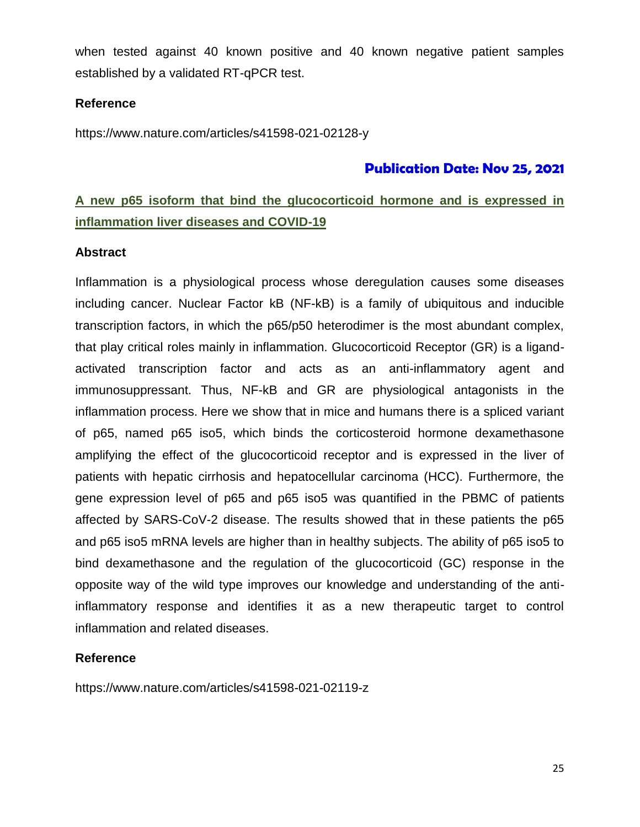when tested against 40 known positive and 40 known negative patient samples established by a validated RT-qPCR test.

### **Reference**

https://www.nature.com/articles/s41598-021-02128-y

### **Publication Date: Nov 25, 2021**

### **A new p65 isoform that bind the glucocorticoid hormone and is expressed in inflammation liver diseases and COVID-19**

#### **Abstract**

Inflammation is a physiological process whose deregulation causes some diseases including cancer. Nuclear Factor kB (NF-kB) is a family of ubiquitous and inducible transcription factors, in which the p65/p50 heterodimer is the most abundant complex, that play critical roles mainly in inflammation. Glucocorticoid Receptor (GR) is a ligandactivated transcription factor and acts as an anti-inflammatory agent and immunosuppressant. Thus, NF-kB and GR are physiological antagonists in the inflammation process. Here we show that in mice and humans there is a spliced variant of p65, named p65 iso5, which binds the corticosteroid hormone dexamethasone amplifying the effect of the glucocorticoid receptor and is expressed in the liver of patients with hepatic cirrhosis and hepatocellular carcinoma (HCC). Furthermore, the gene expression level of p65 and p65 iso5 was quantified in the PBMC of patients affected by SARS-CoV-2 disease. The results showed that in these patients the p65 and p65 iso5 mRNA levels are higher than in healthy subjects. The ability of p65 iso5 to bind dexamethasone and the regulation of the glucocorticoid (GC) response in the opposite way of the wild type improves our knowledge and understanding of the antiinflammatory response and identifies it as a new therapeutic target to control inflammation and related diseases.

### **Reference**

https://www.nature.com/articles/s41598-021-02119-z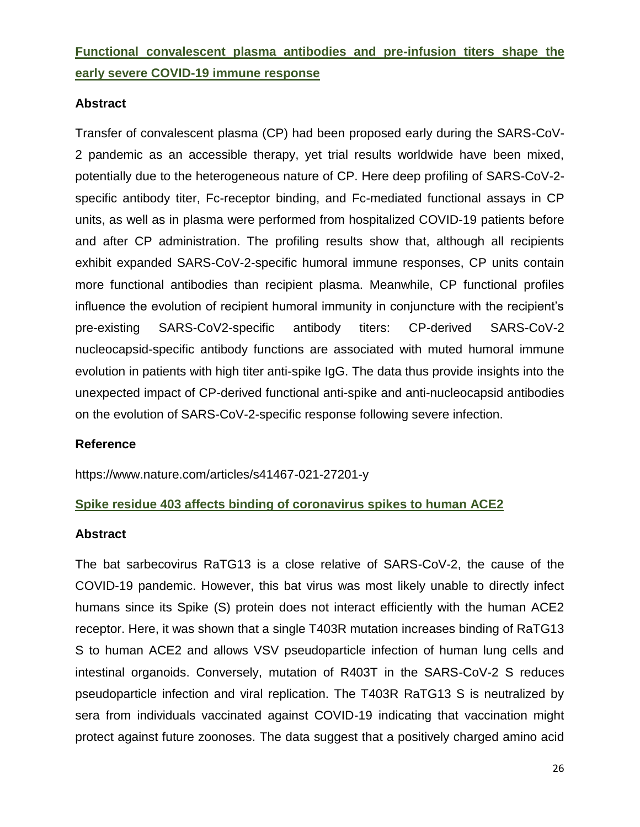### **Functional convalescent plasma antibodies and pre-infusion titers shape the early severe COVID-19 immune response**

### **Abstract**

Transfer of convalescent plasma (CP) had been proposed early during the SARS-CoV-2 pandemic as an accessible therapy, yet trial results worldwide have been mixed, potentially due to the heterogeneous nature of CP. Here deep profiling of SARS-CoV-2 specific antibody titer, Fc-receptor binding, and Fc-mediated functional assays in CP units, as well as in plasma were performed from hospitalized COVID-19 patients before and after CP administration. The profiling results show that, although all recipients exhibit expanded SARS-CoV-2-specific humoral immune responses, CP units contain more functional antibodies than recipient plasma. Meanwhile, CP functional profiles influence the evolution of recipient humoral immunity in conjuncture with the recipient's pre-existing SARS-CoV2-specific antibody titers: CP-derived SARS-CoV-2 nucleocapsid-specific antibody functions are associated with muted humoral immune evolution in patients with high titer anti-spike IgG. The data thus provide insights into the unexpected impact of CP-derived functional anti-spike and anti-nucleocapsid antibodies on the evolution of SARS-CoV-2-specific response following severe infection.

### **Reference**

https://www.nature.com/articles/s41467-021-27201-y

### **Spike residue 403 affects binding of coronavirus spikes to human ACE2**

### **Abstract**

The bat sarbecovirus RaTG13 is a close relative of SARS-CoV-2, the cause of the COVID-19 pandemic. However, this bat virus was most likely unable to directly infect humans since its Spike (S) protein does not interact efficiently with the human ACE2 receptor. Here, it was shown that a single T403R mutation increases binding of RaTG13 S to human ACE2 and allows VSV pseudoparticle infection of human lung cells and intestinal organoids. Conversely, mutation of R403T in the SARS-CoV-2 S reduces pseudoparticle infection and viral replication. The T403R RaTG13 S is neutralized by sera from individuals vaccinated against COVID-19 indicating that vaccination might protect against future zoonoses. The data suggest that a positively charged amino acid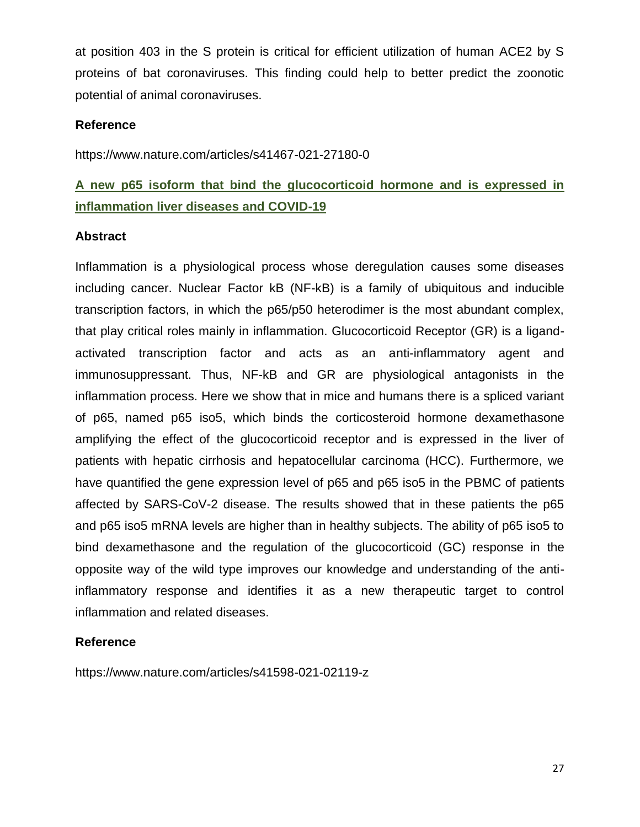at position 403 in the S protein is critical for efficient utilization of human ACE2 by S proteins of bat coronaviruses. This finding could help to better predict the zoonotic potential of animal coronaviruses.

### **Reference**

https://www.nature.com/articles/s41467-021-27180-0

### **A new p65 isoform that bind the glucocorticoid hormone and is expressed in inflammation liver diseases and COVID-19**

### **Abstract**

Inflammation is a physiological process whose deregulation causes some diseases including cancer. Nuclear Factor kB (NF-kB) is a family of ubiquitous and inducible transcription factors, in which the p65/p50 heterodimer is the most abundant complex, that play critical roles mainly in inflammation. Glucocorticoid Receptor (GR) is a ligandactivated transcription factor and acts as an anti-inflammatory agent and immunosuppressant. Thus, NF-kB and GR are physiological antagonists in the inflammation process. Here we show that in mice and humans there is a spliced variant of p65, named p65 iso5, which binds the corticosteroid hormone dexamethasone amplifying the effect of the glucocorticoid receptor and is expressed in the liver of patients with hepatic cirrhosis and hepatocellular carcinoma (HCC). Furthermore, we have quantified the gene expression level of p65 and p65 iso5 in the PBMC of patients affected by SARS-CoV-2 disease. The results showed that in these patients the p65 and p65 iso5 mRNA levels are higher than in healthy subjects. The ability of p65 iso5 to bind dexamethasone and the regulation of the glucocorticoid (GC) response in the opposite way of the wild type improves our knowledge and understanding of the antiinflammatory response and identifies it as a new therapeutic target to control inflammation and related diseases.

### **Reference**

https://www.nature.com/articles/s41598-021-02119-z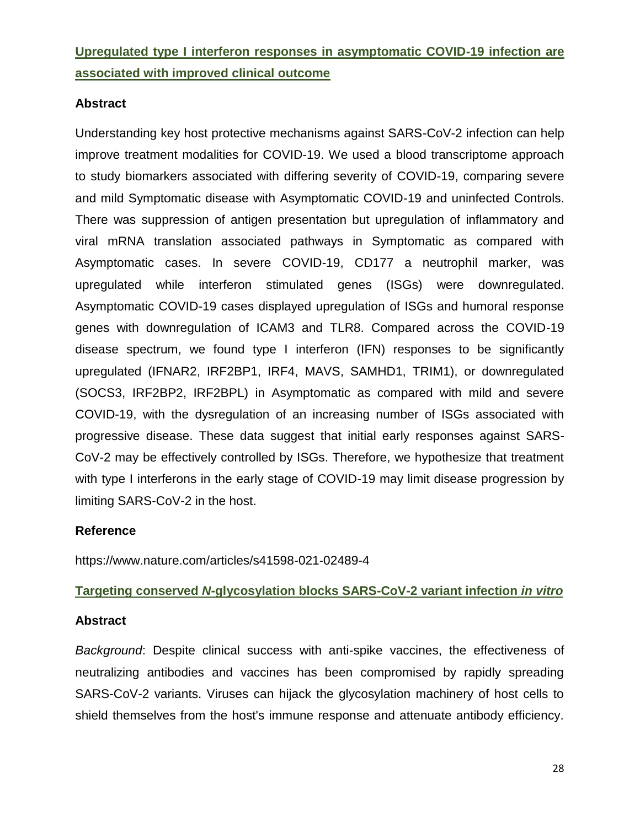**Upregulated type I interferon responses in asymptomatic COVID-19 infection are associated with improved clinical outcome** 

### **Abstract**

Understanding key host protective mechanisms against SARS-CoV-2 infection can help improve treatment modalities for COVID-19. We used a blood transcriptome approach to study biomarkers associated with differing severity of COVID-19, comparing severe and mild Symptomatic disease with Asymptomatic COVID-19 and uninfected Controls. There was suppression of antigen presentation but upregulation of inflammatory and viral mRNA translation associated pathways in Symptomatic as compared with Asymptomatic cases. In severe COVID-19, CD177 a neutrophil marker, was upregulated while interferon stimulated genes (ISGs) were downregulated. Asymptomatic COVID-19 cases displayed upregulation of ISGs and humoral response genes with downregulation of ICAM3 and TLR8. Compared across the COVID-19 disease spectrum, we found type I interferon (IFN) responses to be significantly upregulated (IFNAR2, IRF2BP1, IRF4, MAVS, SAMHD1, TRIM1), or downregulated (SOCS3, IRF2BP2, IRF2BPL) in Asymptomatic as compared with mild and severe COVID-19, with the dysregulation of an increasing number of ISGs associated with progressive disease. These data suggest that initial early responses against SARS-CoV-2 may be effectively controlled by ISGs. Therefore, we hypothesize that treatment with type I interferons in the early stage of COVID-19 may limit disease progression by limiting SARS-CoV-2 in the host.

### **Reference**

https://www.nature.com/articles/s41598-021-02489-4

### **Targeting conserved** *N***-glycosylation blocks SARS-CoV-2 variant infection** *in vitro*

### **Abstract**

*Background*: Despite clinical success with anti-spike vaccines, the effectiveness of neutralizing antibodies and vaccines has been compromised by rapidly spreading SARS-CoV-2 variants. Viruses can hijack the glycosylation machinery of host cells to shield themselves from the host's immune response and attenuate antibody efficiency.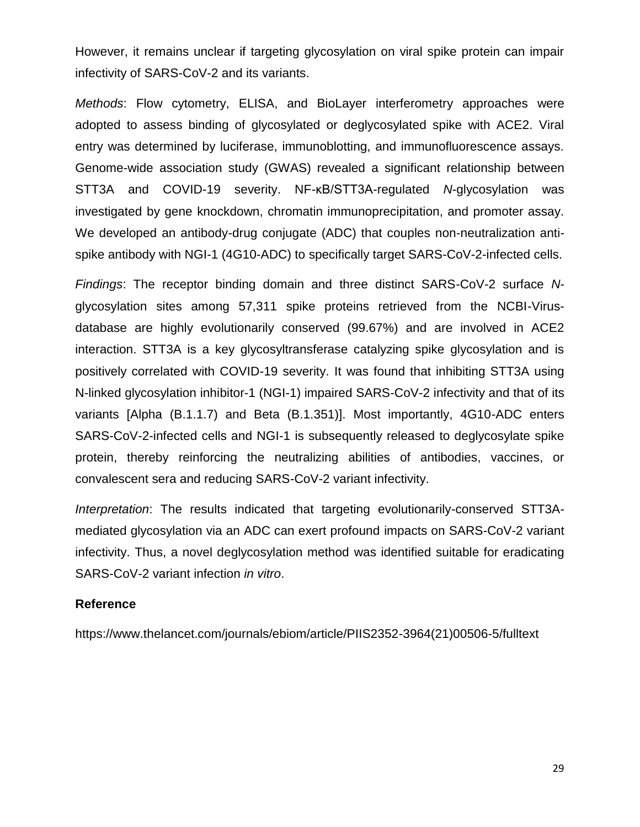However, it remains unclear if targeting glycosylation on viral spike protein can impair infectivity of SARS-CoV-2 and its variants.

*Methods*: Flow cytometry, ELISA, and BioLayer interferometry approaches were adopted to assess binding of glycosylated or deglycosylated spike with ACE2. Viral entry was determined by luciferase, immunoblotting, and immunofluorescence assays. Genome-wide association study (GWAS) revealed a significant relationship between STT3A and COVID-19 severity. NF-κB/STT3A-regulated *N*-glycosylation was investigated by gene knockdown, chromatin immunoprecipitation, and promoter assay. We developed an antibody-drug conjugate (ADC) that couples non-neutralization antispike antibody with NGI-1 (4G10-ADC) to specifically target SARS-CoV-2-infected cells.

*Findings*: The receptor binding domain and three distinct SARS-CoV-2 surface *N*glycosylation sites among 57,311 spike proteins retrieved from the NCBI-Virusdatabase are highly evolutionarily conserved (99.67%) and are involved in ACE2 interaction. STT3A is a key glycosyltransferase catalyzing spike glycosylation and is positively correlated with COVID-19 severity. It was found that inhibiting STT3A using N-linked glycosylation inhibitor-1 (NGI-1) impaired SARS-CoV-2 infectivity and that of its variants [Alpha (B.1.1.7) and Beta (B.1.351)]. Most importantly, 4G10-ADC enters SARS-CoV-2-infected cells and NGI-1 is subsequently released to deglycosylate spike protein, thereby reinforcing the neutralizing abilities of antibodies, vaccines, or convalescent sera and reducing SARS-CoV-2 variant infectivity.

*Interpretation*: The results indicated that targeting evolutionarily-conserved STT3Amediated glycosylation via an ADC can exert profound impacts on SARS-CoV-2 variant infectivity. Thus, a novel deglycosylation method was identified suitable for eradicating SARS-CoV-2 variant infection *in vitro*.

### **Reference**

https://www.thelancet.com/journals/ebiom/article/PIIS2352-3964(21)00506-5/fulltext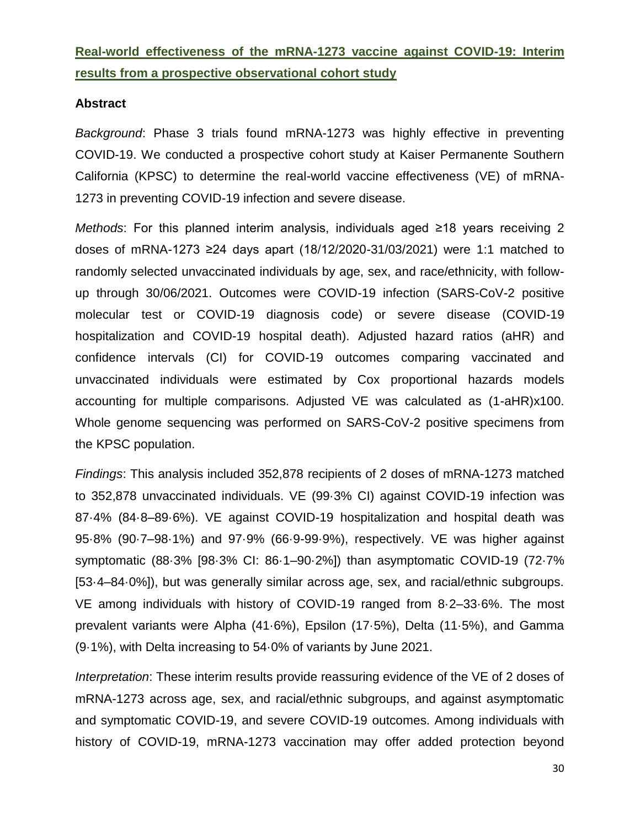### **Real-world effectiveness of the mRNA-1273 vaccine against COVID-19: Interim results from a prospective observational cohort study**

### **Abstract**

*Background*: Phase 3 trials found mRNA-1273 was highly effective in preventing COVID-19. We conducted a prospective cohort study at Kaiser Permanente Southern California (KPSC) to determine the real-world vaccine effectiveness (VE) of mRNA-1273 in preventing COVID-19 infection and severe disease.

*Methods*: For this planned interim analysis, individuals aged ≥18 years receiving 2 doses of mRNA-1273 ≥24 days apart (18/12/2020-31/03/2021) were 1:1 matched to randomly selected unvaccinated individuals by age, sex, and race/ethnicity, with followup through 30/06/2021. Outcomes were COVID-19 infection (SARS-CoV-2 positive molecular test or COVID-19 diagnosis code) or severe disease (COVID-19 hospitalization and COVID-19 hospital death). Adjusted hazard ratios (aHR) and confidence intervals (CI) for COVID-19 outcomes comparing vaccinated and unvaccinated individuals were estimated by Cox proportional hazards models accounting for multiple comparisons. Adjusted VE was calculated as (1-aHR)x100. Whole genome sequencing was performed on SARS-CoV-2 positive specimens from the KPSC population.

*Findings*: This analysis included 352,878 recipients of 2 doses of mRNA-1273 matched to 352,878 unvaccinated individuals. VE (99·3% CI) against COVID-19 infection was 87·4% (84·8–89·6%). VE against COVID-19 hospitalization and hospital death was 95·8% (90·7–98·1%) and 97·9% (66·9-99·9%), respectively. VE was higher against symptomatic (88·3% [98·3% CI: 86·1–90·2%]) than asymptomatic COVID-19 (72·7% [53·4–84·0%]), but was generally similar across age, sex, and racial/ethnic subgroups. VE among individuals with history of COVID-19 ranged from 8·2–33·6%. The most prevalent variants were Alpha (41·6%), Epsilon (17·5%), Delta (11·5%), and Gamma (9·1%), with Delta increasing to 54·0% of variants by June 2021.

*Interpretation*: These interim results provide reassuring evidence of the VE of 2 doses of mRNA-1273 across age, sex, and racial/ethnic subgroups, and against asymptomatic and symptomatic COVID-19, and severe COVID-19 outcomes. Among individuals with history of COVID-19, mRNA-1273 vaccination may offer added protection beyond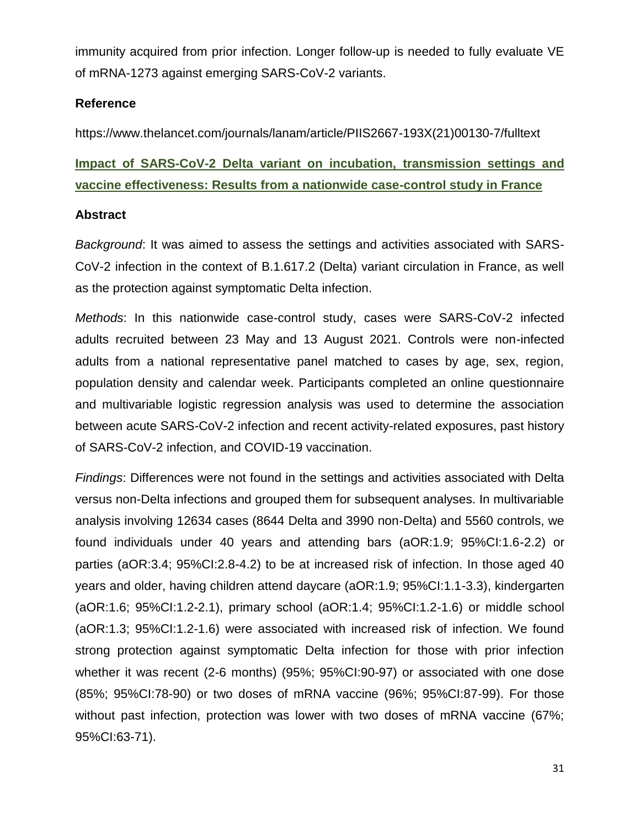immunity acquired from prior infection. Longer follow-up is needed to fully evaluate VE of mRNA-1273 against emerging SARS-CoV-2 variants.

### **Reference**

https://www.thelancet.com/journals/lanam/article/PIIS2667-193X(21)00130-7/fulltext

# **Impact of SARS-CoV-2 Delta variant on incubation, transmission settings and vaccine effectiveness: Results from a nationwide case-control study in France**

### **Abstract**

*Background*: It was aimed to assess the settings and activities associated with SARS-CoV-2 infection in the context of B.1.617.2 (Delta) variant circulation in France, as well as the protection against symptomatic Delta infection.

*Methods*: In this nationwide case-control study, cases were SARS-CoV-2 infected adults recruited between 23 May and 13 August 2021. Controls were non-infected adults from a national representative panel matched to cases by age, sex, region, population density and calendar week. Participants completed an online questionnaire and multivariable logistic regression analysis was used to determine the association between acute SARS-CoV-2 infection and recent activity-related exposures, past history of SARS-CoV-2 infection, and COVID-19 vaccination.

*Findings*: Differences were not found in the settings and activities associated with Delta versus non-Delta infections and grouped them for subsequent analyses. In multivariable analysis involving 12634 cases (8644 Delta and 3990 non-Delta) and 5560 controls, we found individuals under 40 years and attending bars (aOR:1.9; 95%CI:1.6-2.2) or parties (aOR:3.4; 95%CI:2.8-4.2) to be at increased risk of infection. In those aged 40 years and older, having children attend daycare (aOR:1.9; 95%CI:1.1-3.3), kindergarten (aOR:1.6; 95%CI:1.2-2.1), primary school (aOR:1.4; 95%CI:1.2-1.6) or middle school (aOR:1.3; 95%CI:1.2-1.6) were associated with increased risk of infection. We found strong protection against symptomatic Delta infection for those with prior infection whether it was recent (2-6 months) (95%; 95%CI:90-97) or associated with one dose (85%; 95%CI:78-90) or two doses of mRNA vaccine (96%; 95%CI:87-99). For those without past infection, protection was lower with two doses of mRNA vaccine (67%; 95%CI:63-71).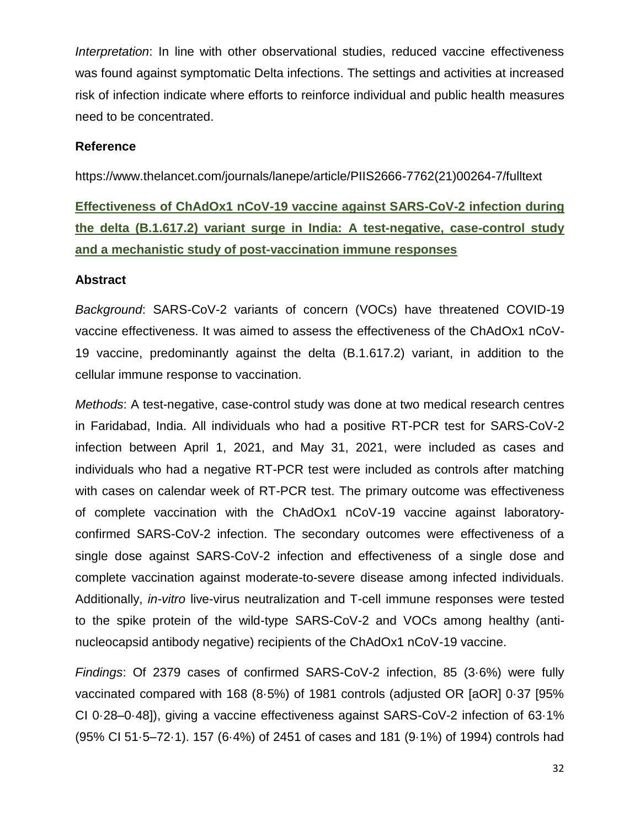*Interpretation*: In line with other observational studies, reduced vaccine effectiveness was found against symptomatic Delta infections. The settings and activities at increased risk of infection indicate where efforts to reinforce individual and public health measures need to be concentrated.

#### **Reference**

https://www.thelancet.com/journals/lanepe/article/PIIS2666-7762(21)00264-7/fulltext

**Effectiveness of ChAdOx1 nCoV-19 vaccine against SARS-CoV-2 infection during the delta (B.1.617.2) variant surge in India: A test-negative, case-control study and a mechanistic study of post-vaccination immune responses** 

#### **Abstract**

*Background*: SARS-CoV-2 variants of concern (VOCs) have threatened COVID-19 vaccine effectiveness. It was aimed to assess the effectiveness of the ChAdOx1 nCoV-19 vaccine, predominantly against the delta (B.1.617.2) variant, in addition to the cellular immune response to vaccination.

*Methods*: A test-negative, case-control study was done at two medical research centres in Faridabad, India. All individuals who had a positive RT-PCR test for SARS-CoV-2 infection between April 1, 2021, and May 31, 2021, were included as cases and individuals who had a negative RT-PCR test were included as controls after matching with cases on calendar week of RT-PCR test. The primary outcome was effectiveness of complete vaccination with the ChAdOx1 nCoV-19 vaccine against laboratoryconfirmed SARS-CoV-2 infection. The secondary outcomes were effectiveness of a single dose against SARS-CoV-2 infection and effectiveness of a single dose and complete vaccination against moderate-to-severe disease among infected individuals. Additionally, *in-vitro* live-virus neutralization and T-cell immune responses were tested to the spike protein of the wild-type SARS-CoV-2 and VOCs among healthy (antinucleocapsid antibody negative) recipients of the ChAdOx1 nCoV-19 vaccine.

*Findings*: Of 2379 cases of confirmed SARS-CoV-2 infection, 85 (3·6%) were fully vaccinated compared with 168 (8·5%) of 1981 controls (adjusted OR [aOR] 0·37 [95% CI 0·28–0·48]), giving a vaccine effectiveness against SARS-CoV-2 infection of 63·1% (95% CI 51·5–72·1). 157 (6·4%) of 2451 of cases and 181 (9·1%) of 1994) controls had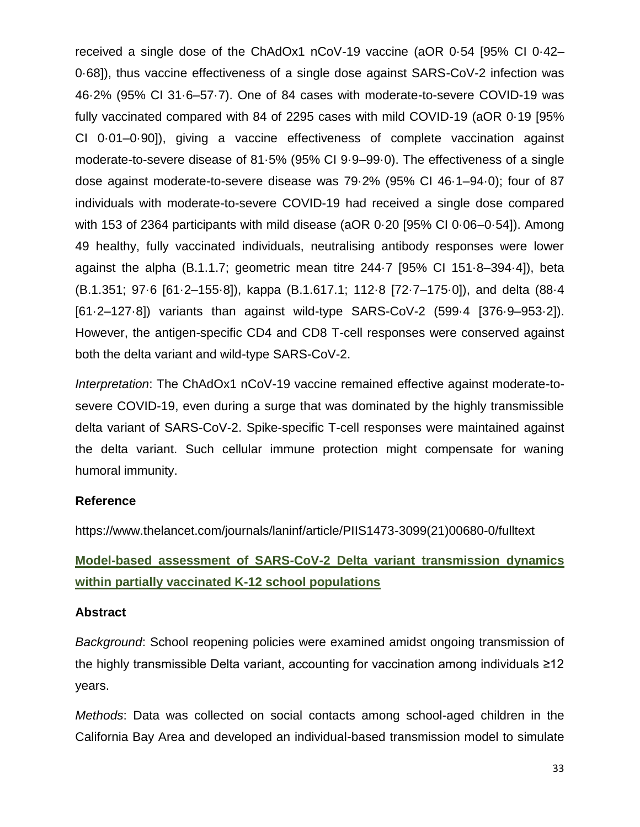received a single dose of the ChAdOx1 nCoV-19 vaccine (aOR 0·54 [95% CI 0·42– 0·68]), thus vaccine effectiveness of a single dose against SARS-CoV-2 infection was 46·2% (95% CI 31·6–57·7). One of 84 cases with moderate-to-severe COVID-19 was fully vaccinated compared with 84 of 2295 cases with mild COVID-19 (aOR 0·19 [95% CI 0·01–0·90]), giving a vaccine effectiveness of complete vaccination against moderate-to-severe disease of 81·5% (95% CI 9·9–99·0). The effectiveness of a single dose against moderate-to-severe disease was 79·2% (95% CI 46·1–94·0); four of 87 individuals with moderate-to-severe COVID-19 had received a single dose compared with 153 of 2364 participants with mild disease (aOR 0·20 [95% CI 0·06–0·54]). Among 49 healthy, fully vaccinated individuals, neutralising antibody responses were lower against the alpha (B.1.1.7; geometric mean titre 244·7 [95% CI 151·8–394·4]), beta (B.1.351; 97·6 [61·2–155·8]), kappa (B.1.617.1; 112·8 [72·7–175·0]), and delta (88·4 [61·2–127·8]) variants than against wild-type SARS-CoV-2 (599·4 [376·9–953·2]). However, the antigen-specific CD4 and CD8 T-cell responses were conserved against both the delta variant and wild-type SARS-CoV-2.

*Interpretation*: The ChAdOx1 nCoV-19 vaccine remained effective against moderate-tosevere COVID-19, even during a surge that was dominated by the highly transmissible delta variant of SARS-CoV-2. Spike-specific T-cell responses were maintained against the delta variant. Such cellular immune protection might compensate for waning humoral immunity.

### **Reference**

https://www.thelancet.com/journals/laninf/article/PIIS1473-3099(21)00680-0/fulltext

### **Model-based assessment of SARS-CoV-2 Delta variant transmission dynamics within partially vaccinated K-12 school populations**

### **Abstract**

*Background*: School reopening policies were examined amidst ongoing transmission of the highly transmissible Delta variant, accounting for vaccination among individuals ≥12 years.

*Methods*: Data was collected on social contacts among school-aged children in the California Bay Area and developed an individual-based transmission model to simulate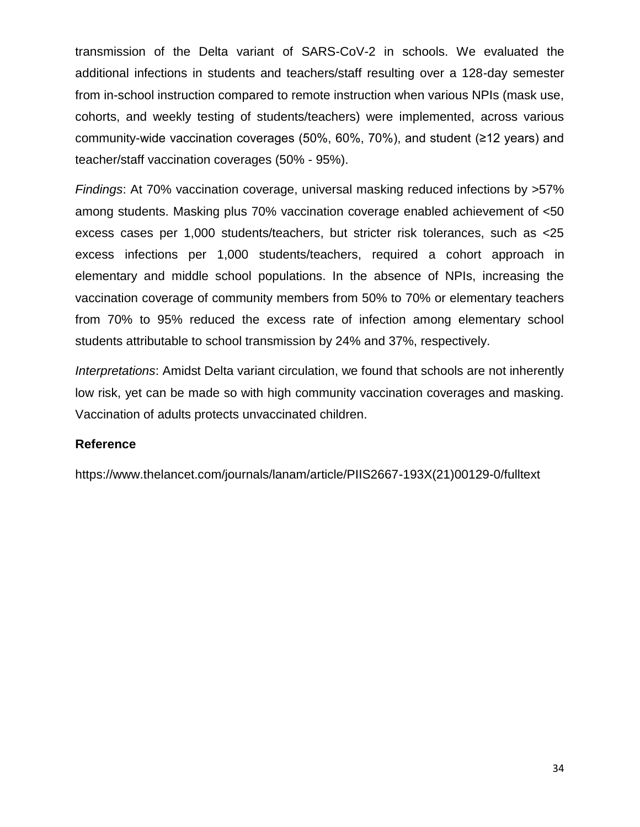transmission of the Delta variant of SARS-CoV-2 in schools. We evaluated the additional infections in students and teachers/staff resulting over a 128-day semester from in-school instruction compared to remote instruction when various NPIs (mask use, cohorts, and weekly testing of students/teachers) were implemented, across various community-wide vaccination coverages (50%, 60%, 70%), and student (≥12 years) and teacher/staff vaccination coverages (50% - 95%).

*Findings*: At 70% vaccination coverage, universal masking reduced infections by >57% among students. Masking plus 70% vaccination coverage enabled achievement of <50 excess cases per 1,000 students/teachers, but stricter risk tolerances, such as <25 excess infections per 1,000 students/teachers, required a cohort approach in elementary and middle school populations. In the absence of NPIs, increasing the vaccination coverage of community members from 50% to 70% or elementary teachers from 70% to 95% reduced the excess rate of infection among elementary school students attributable to school transmission by 24% and 37%, respectively.

*Interpretations*: Amidst Delta variant circulation, we found that schools are not inherently low risk, yet can be made so with high community vaccination coverages and masking. Vaccination of adults protects unvaccinated children.

### **Reference**

https://www.thelancet.com/journals/lanam/article/PIIS2667-193X(21)00129-0/fulltext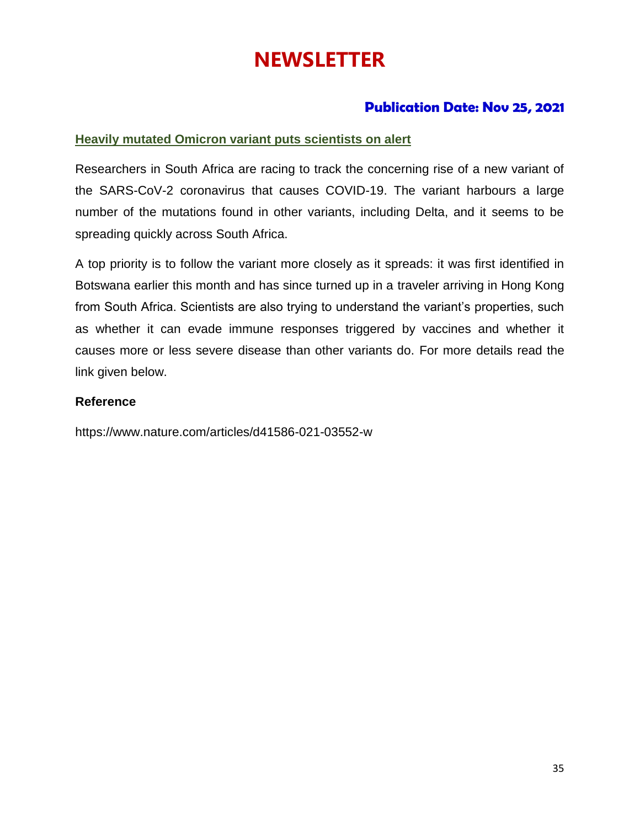# **NEWSLETTER**

### **Publication Date: Nov 25, 2021**

### **Heavily mutated Omicron variant puts scientists on alert**

Researchers in South Africa are racing to track the concerning rise of a new variant of the SARS-CoV-2 coronavirus that causes COVID-19. The variant harbours a large number of the mutations found in other variants, including Delta, and it seems to be spreading quickly across South Africa.

A top priority is to follow the variant more closely as it spreads: it was first identified in Botswana earlier this month and has since turned up in a traveler arriving in Hong Kong from South Africa. Scientists are also trying to understand the variant's properties, such as whether it can evade immune responses triggered by vaccines and whether it causes more or less severe disease than other variants do. For more details read the link given below.

### **Reference**

https://www.nature.com/articles/d41586-021-03552-w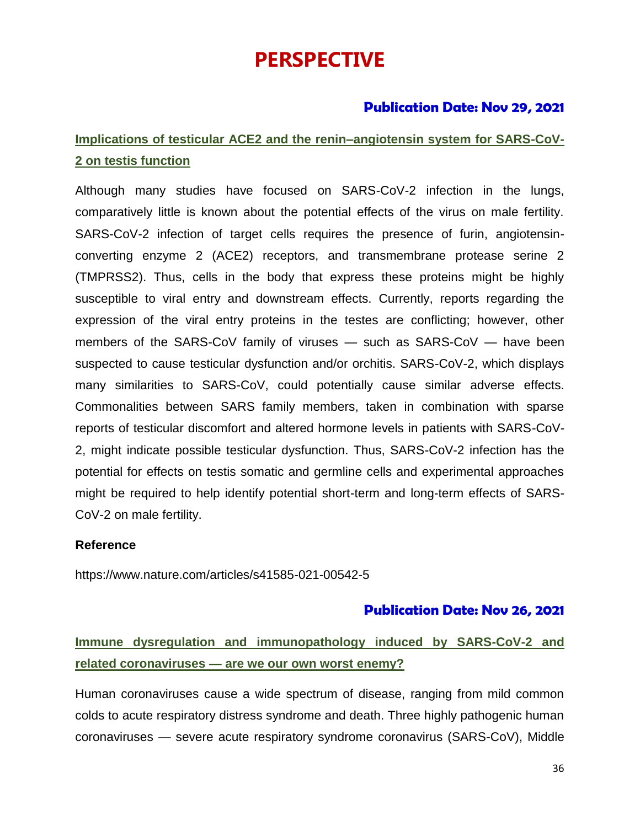# **PERSPECTIVE**

### **Publication Date: Nov 29, 2021**

### **Implications of testicular ACE2 and the renin–angiotensin system for SARS-CoV-2 on testis function**

Although many studies have focused on SARS-CoV-2 infection in the lungs, comparatively little is known about the potential effects of the virus on male fertility. SARS-CoV-2 infection of target cells requires the presence of furin, angiotensinconverting enzyme 2 (ACE2) receptors, and transmembrane protease serine 2 (TMPRSS2). Thus, cells in the body that express these proteins might be highly susceptible to viral entry and downstream effects. Currently, reports regarding the expression of the viral entry proteins in the testes are conflicting; however, other members of the SARS-CoV family of viruses — such as SARS-CoV — have been suspected to cause testicular dysfunction and/or orchitis. SARS-CoV-2, which displays many similarities to SARS-CoV, could potentially cause similar adverse effects. Commonalities between SARS family members, taken in combination with sparse reports of testicular discomfort and altered hormone levels in patients with SARS-CoV-2, might indicate possible testicular dysfunction. Thus, SARS-CoV-2 infection has the potential for effects on testis somatic and germline cells and experimental approaches might be required to help identify potential short-term and long-term effects of SARS-CoV-2 on male fertility.

### **Reference**

https://www.nature.com/articles/s41585-021-00542-5

### **Publication Date: Nov 26, 2021**

### **Immune dysregulation and immunopathology induced by SARS-CoV-2 and related coronaviruses — are we our own worst enemy?**

Human coronaviruses cause a wide spectrum of disease, ranging from mild common colds to acute respiratory distress syndrome and death. Three highly pathogenic human coronaviruses — severe acute respiratory syndrome coronavirus (SARS-CoV), Middle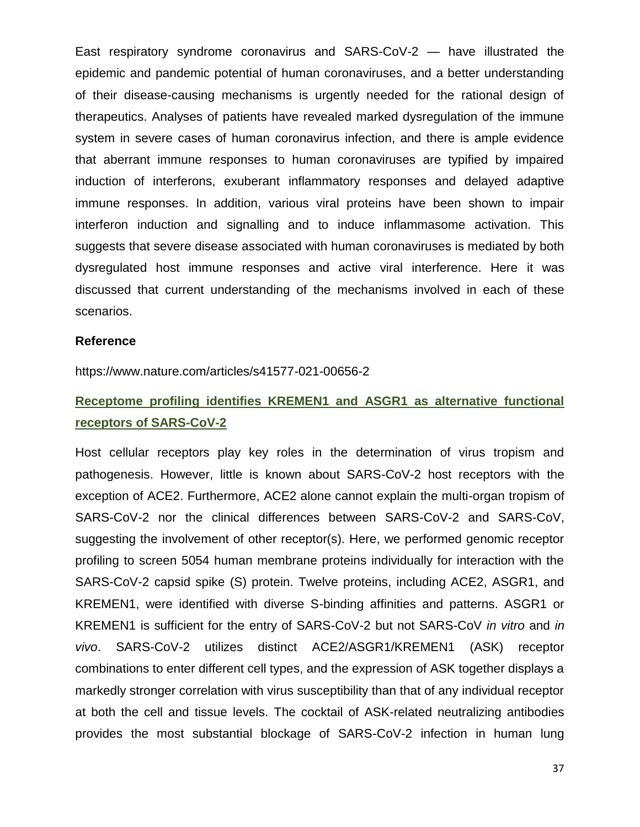East respiratory syndrome coronavirus and SARS-CoV-2 — have illustrated the epidemic and pandemic potential of human coronaviruses, and a better understanding of their disease-causing mechanisms is urgently needed for the rational design of therapeutics. Analyses of patients have revealed marked dysregulation of the immune system in severe cases of human coronavirus infection, and there is ample evidence that aberrant immune responses to human coronaviruses are typified by impaired induction of interferons, exuberant inflammatory responses and delayed adaptive immune responses. In addition, various viral proteins have been shown to impair interferon induction and signalling and to induce inflammasome activation. This suggests that severe disease associated with human coronaviruses is mediated by both dysregulated host immune responses and active viral interference. Here it was discussed that current understanding of the mechanisms involved in each of these scenarios.

### **Reference**

https://www.nature.com/articles/s41577-021-00656-2

### **Receptome profiling identifies KREMEN1 and ASGR1 as alternative functional receptors of SARS-CoV-2**

Host cellular receptors play key roles in the determination of virus tropism and pathogenesis. However, little is known about SARS-CoV-2 host receptors with the exception of ACE2. Furthermore, ACE2 alone cannot explain the multi-organ tropism of SARS-CoV-2 nor the clinical differences between SARS-CoV-2 and SARS-CoV, suggesting the involvement of other receptor(s). Here, we performed genomic receptor profiling to screen 5054 human membrane proteins individually for interaction with the SARS-CoV-2 capsid spike (S) protein. Twelve proteins, including ACE2, ASGR1, and KREMEN1, were identified with diverse S-binding affinities and patterns. ASGR1 or KREMEN1 is sufficient for the entry of SARS-CoV-2 but not SARS-CoV *in vitro* and *in vivo*. SARS-CoV-2 utilizes distinct ACE2/ASGR1/KREMEN1 (ASK) receptor combinations to enter different cell types, and the expression of ASK together displays a markedly stronger correlation with virus susceptibility than that of any individual receptor at both the cell and tissue levels. The cocktail of ASK-related neutralizing antibodies provides the most substantial blockage of SARS-CoV-2 infection in human lung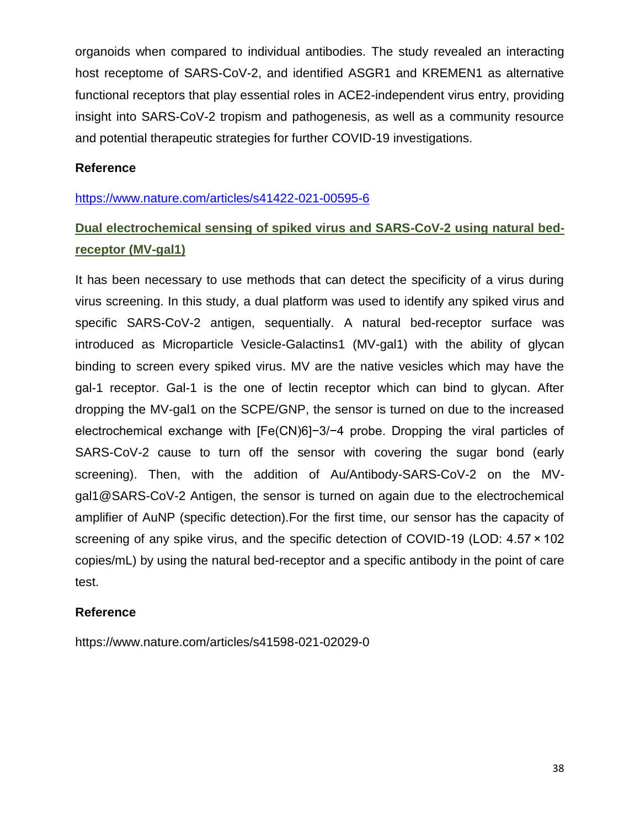organoids when compared to individual antibodies. The study revealed an interacting host receptome of SARS-CoV-2, and identified ASGR1 and KREMEN1 as alternative functional receptors that play essential roles in ACE2-independent virus entry, providing insight into SARS-CoV-2 tropism and pathogenesis, as well as a community resource and potential therapeutic strategies for further COVID-19 investigations.

### **Reference**

<https://www.nature.com/articles/s41422-021-00595-6>

### **Dual electrochemical sensing of spiked virus and SARS-CoV-2 using natural bedreceptor (MV-gal1)**

It has been necessary to use methods that can detect the specificity of a virus during virus screening. In this study, a dual platform was used to identify any spiked virus and specific SARS-CoV-2 antigen, sequentially. A natural bed-receptor surface was introduced as Microparticle Vesicle-Galactins1 (MV-gal1) with the ability of glycan binding to screen every spiked virus. MV are the native vesicles which may have the gal-1 receptor. Gal-1 is the one of lectin receptor which can bind to glycan. After dropping the MV-gal1 on the SCPE/GNP, the sensor is turned on due to the increased electrochemical exchange with [Fe(CN)6]−3/−4 probe. Dropping the viral particles of SARS-CoV-2 cause to turn off the sensor with covering the sugar bond (early screening). Then, with the addition of Au/Antibody-SARS-CoV-2 on the MVgal1@SARS-CoV-2 Antigen, the sensor is turned on again due to the electrochemical amplifier of AuNP (specific detection).For the first time, our sensor has the capacity of screening of any spike virus, and the specific detection of COVID-19 (LOD: 4.57 × 102 copies/mL) by using the natural bed-receptor and a specific antibody in the point of care test.

### **Reference**

https://www.nature.com/articles/s41598-021-02029-0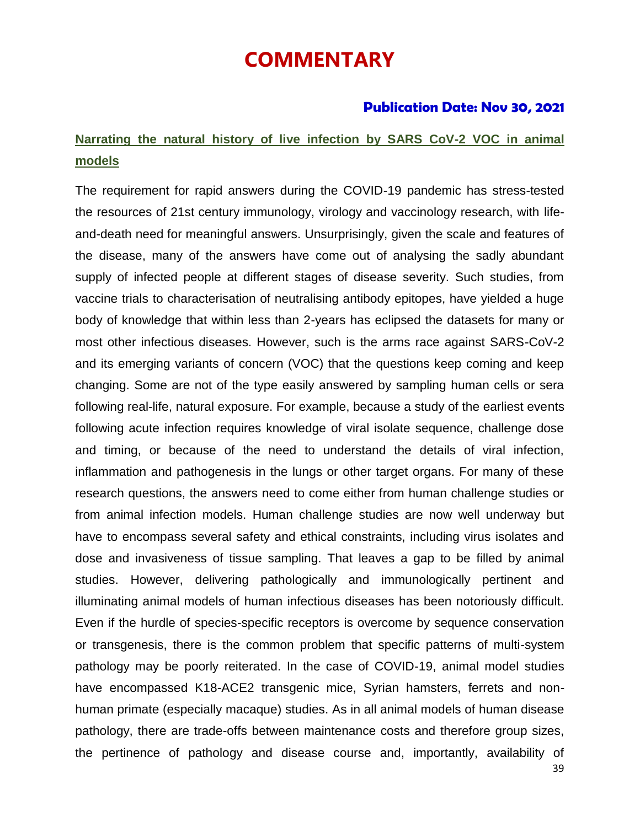# **COMMENTARY**

### **Publication Date: Nov 30, 2021**

### **Narrating the natural history of live infection by SARS CoV-2 VOC in animal models**

The requirement for rapid answers during the COVID-19 pandemic has stress-tested the resources of 21st century immunology, virology and vaccinology research, with lifeand-death need for meaningful answers. Unsurprisingly, given the scale and features of the disease, many of the answers have come out of analysing the sadly abundant supply of infected people at different stages of disease severity. Such studies, from vaccine trials to characterisation of neutralising antibody epitopes, have yielded a huge body of knowledge that within less than 2-years has eclipsed the datasets for many or most other infectious diseases. However, such is the arms race against SARS-CoV-2 and its emerging variants of concern (VOC) that the questions keep coming and keep changing. Some are not of the type easily answered by sampling human cells or sera following real-life, natural exposure. For example, because a study of the earliest events following acute infection requires knowledge of viral isolate sequence, challenge dose and timing, or because of the need to understand the details of viral infection, inflammation and pathogenesis in the lungs or other target organs. For many of these research questions, the answers need to come either from human challenge studies or from animal infection models. Human challenge studies are now well underway but have to encompass several safety and ethical constraints, including virus isolates and dose and invasiveness of tissue sampling. That leaves a gap to be filled by animal studies. However, delivering pathologically and immunologically pertinent and illuminating animal models of human infectious diseases has been notoriously difficult. Even if the hurdle of species-specific receptors is overcome by sequence conservation or transgenesis, there is the common problem that specific patterns of multi-system pathology may be poorly reiterated. In the case of COVID-19, animal model studies have encompassed K18-ACE2 transgenic mice, Syrian hamsters, ferrets and nonhuman primate (especially macaque) studies. As in all animal models of human disease pathology, there are trade-offs between maintenance costs and therefore group sizes, the pertinence of pathology and disease course and, importantly, availability of